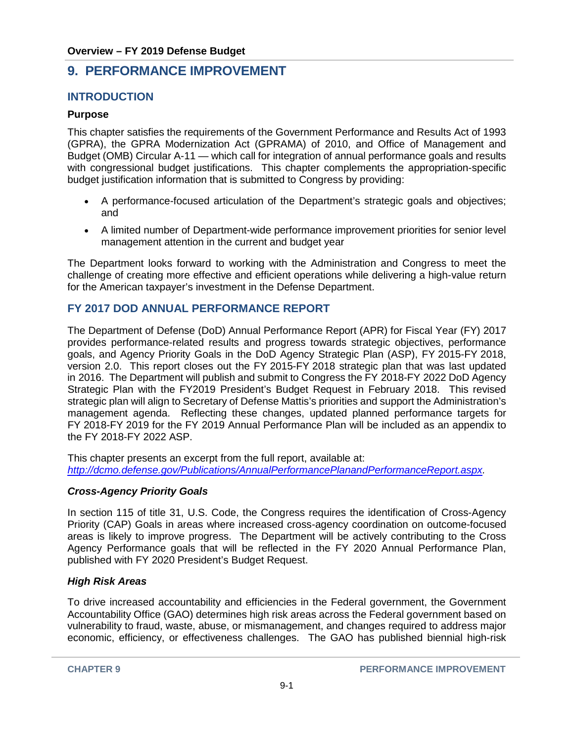# **9. PERFORMANCE IMPROVEMENT**

# **INTRODUCTION**

# **Purpose**

This chapter satisfies the requirements of the Government Performance and Results Act of 1993 (GPRA), the GPRA Modernization Act (GPRAMA) of 2010, and Office of Management and Budget (OMB) Circular A-11 — which call for integration of annual performance goals and results with congressional budget justifications. This chapter complements the appropriation-specific budget justification information that is submitted to Congress by providing:

- A performance-focused articulation of the Department's strategic goals and objectives; and
- A limited number of Department-wide performance improvement priorities for senior level management attention in the current and budget year

The Department looks forward to working with the Administration and Congress to meet the challenge of creating more effective and efficient operations while delivering a high-value return for the American taxpayer's investment in the Defense Department.

# **FY 2017 DOD ANNUAL PERFORMANCE REPORT**

The Department of Defense (DoD) Annual Performance Report (APR) for Fiscal Year (FY) 2017 provides performance-related results and progress towards strategic objectives, performance goals, and Agency Priority Goals in the DoD Agency Strategic Plan (ASP), FY 2015-FY 2018, version 2.0. This report closes out the FY 2015-FY 2018 strategic plan that was last updated in 2016. The Department will publish and submit to Congress the FY 2018-FY 2022 DoD Agency Strategic Plan with the FY2019 President's Budget Request in February 2018. This revised strategic plan will align to Secretary of Defense Mattis's priorities and support the Administration's management agenda. Reflecting these changes, updated planned performance targets for FY 2018-FY 2019 for the FY 2019 Annual Performance Plan will be included as an appendix to the FY 2018-FY 2022 ASP.

This chapter presents an excerpt from the full report, available at: *[http://dcmo.defense.gov/Publications/AnnualPerformancePlanandPerformanceReport.aspx.](http://dcmo.defense.gov/Publications/AnnualPerformancePlanandPerformanceReport.aspx)* 

# *Cross-Agency Priority Goals*

In section 115 of title 31, U.S. Code, the Congress requires the identification of Cross-Agency Priority (CAP) Goals in areas where increased cross-agency coordination on outcome-focused areas is likely to improve progress. The Department will be actively contributing to the Cross Agency Performance goals that will be reflected in the FY 2020 Annual Performance Plan, published with FY 2020 President's Budget Request.

#### *High Risk Areas*

To drive increased accountability and efficiencies in the Federal government, the Government Accountability Office (GAO) determines high risk areas across the Federal government based on vulnerability to fraud, waste, abuse, or mismanagement, and changes required to address major economic, efficiency, or effectiveness challenges. The GAO has published biennial high-risk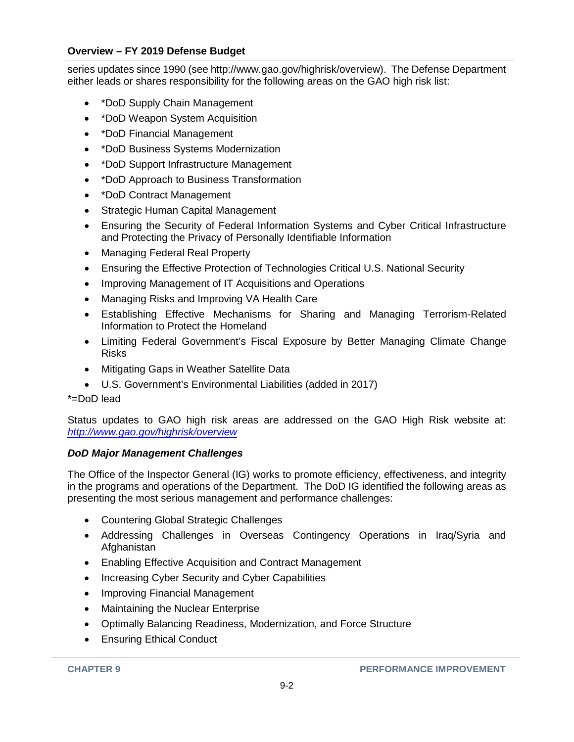series updates since 1990 (se[e http://www.gao.gov/highrisk/overview\)](http://www.gao.gov/highrisk/overview). The Defense Department either leads or shares responsibility for the following areas on the GAO high risk list:

- \*DoD Supply Chain Management
- \*DoD Weapon System Acquisition
- \*DoD Financial Management
- \*DoD Business Systems Modernization
- \*DoD Support Infrastructure Management
- \*DoD Approach to Business Transformation
- \*DoD Contract Management
- Strategic Human Capital Management
- Ensuring the Security of Federal Information Systems and Cyber Critical Infrastructure and Protecting the Privacy of Personally Identifiable Information
- Managing Federal Real Property
- Ensuring the Effective Protection of Technologies Critical U.S. National Security
- Improving Management of IT Acquisitions and Operations
- Managing Risks and Improving VA Health Care
- Establishing Effective Mechanisms for Sharing and Managing Terrorism-Related Information to Protect the Homeland
- Limiting Federal Government's Fiscal Exposure by Better Managing Climate Change Risks
- Mitigating Gaps in Weather Satellite Data
- U.S. Government's Environmental Liabilities (added in 2017)

\*=DoD lead

Status updates to GAO high risk areas are addressed on the GAO High Risk website at: *<http://www.gao.gov/highrisk/overview>*

# *DoD Major Management Challenges*

The Office of the Inspector General (IG) works to promote efficiency, effectiveness, and integrity in the programs and operations of the Department. The DoD IG identified the following areas as presenting the most serious management and performance challenges:

- Countering Global Strategic Challenges
- Addressing Challenges in Overseas Contingency Operations in Iraq/Syria and Afghanistan
- Enabling Effective Acquisition and Contract Management
- Increasing Cyber Security and Cyber Capabilities
- Improving Financial Management
- Maintaining the Nuclear Enterprise
- Optimally Balancing Readiness, Modernization, and Force Structure
- Ensuring Ethical Conduct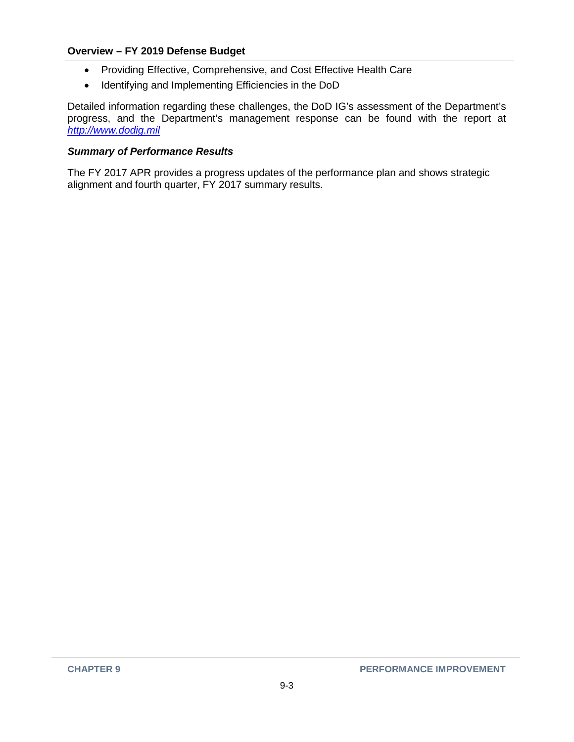- Providing Effective, Comprehensive, and Cost Effective Health Care
- Identifying and Implementing Efficiencies in the DoD

Detailed information regarding these challenges, the DoD IG's assessment of the Department's progress, and the Department's management response can be found with the report at *[http://www.dodig.mil](http://www.dodig.mil/)*

#### *Summary of Performance Results*

The FY 2017 APR provides a progress updates of the performance plan and shows strategic alignment and fourth quarter, FY 2017 summary results.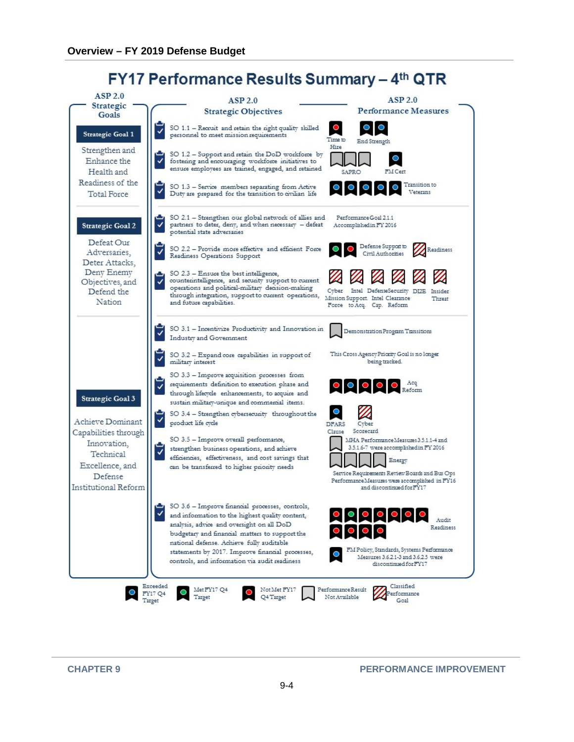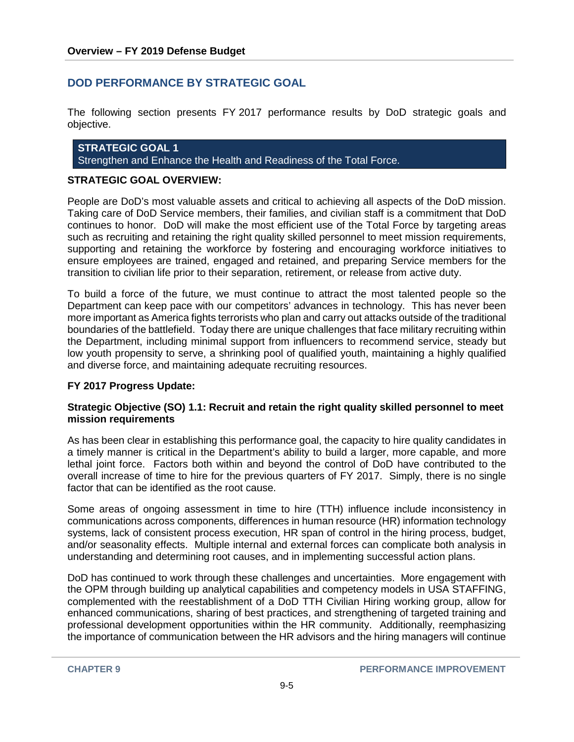# **DOD PERFORMANCE BY STRATEGIC GOAL**

The following section presents FY 2017 performance results by DoD strategic goals and objective.

**STRATEGIC GOAL 1**  Strengthen and Enhance the Health and Readiness of the Total Force.

#### **STRATEGIC GOAL OVERVIEW:**

People are DoD's most valuable assets and critical to achieving all aspects of the DoD mission. Taking care of DoD Service members, their families, and civilian staff is a commitment that DoD continues to honor. DoD will make the most efficient use of the Total Force by targeting areas such as recruiting and retaining the right quality skilled personnel to meet mission requirements, supporting and retaining the workforce by fostering and encouraging workforce initiatives to ensure employees are trained, engaged and retained, and preparing Service members for the transition to civilian life prior to their separation, retirement, or release from active duty.

To build a force of the future, we must continue to attract the most talented people so the Department can keep pace with our competitors' advances in technology. This has never been more important as America fights terrorists who plan and carry out attacks outside of the traditional boundaries of the battlefield. Today there are unique challenges that face military recruiting within the Department, including minimal support from influencers to recommend service, steady but low youth propensity to serve, a shrinking pool of qualified youth, maintaining a highly qualified and diverse force, and maintaining adequate recruiting resources.

#### **FY 2017 Progress Update:**

#### **Strategic Objective (SO) 1.1: Recruit and retain the right quality skilled personnel to meet mission requirements**

As has been clear in establishing this performance goal, the capacity to hire quality candidates in a timely manner is critical in the Department's ability to build a larger, more capable, and more lethal joint force. Factors both within and beyond the control of DoD have contributed to the overall increase of time to hire for the previous quarters of FY 2017. Simply, there is no single factor that can be identified as the root cause.

Some areas of ongoing assessment in time to hire (TTH) influence include inconsistency in communications across components, differences in human resource (HR) information technology systems, lack of consistent process execution, HR span of control in the hiring process, budget, and/or seasonality effects. Multiple internal and external forces can complicate both analysis in understanding and determining root causes, and in implementing successful action plans.

DoD has continued to work through these challenges and uncertainties. More engagement with the OPM through building up analytical capabilities and competency models in USA STAFFING, complemented with the reestablishment of a DoD TTH Civilian Hiring working group, allow for enhanced communications, sharing of best practices, and strengthening of targeted training and professional development opportunities within the HR community. Additionally, reemphasizing the importance of communication between the HR advisors and the hiring managers will continue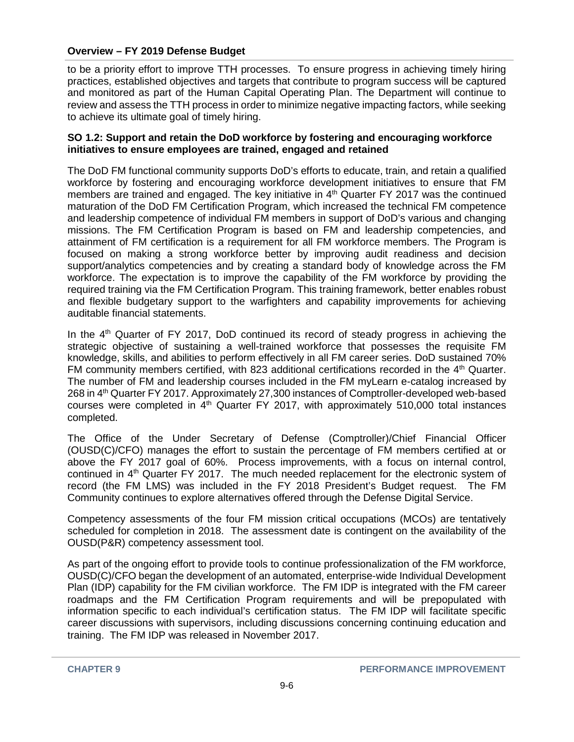to be a priority effort to improve TTH processes. To ensure progress in achieving timely hiring practices, established objectives and targets that contribute to program success will be captured and monitored as part of the Human Capital Operating Plan. The Department will continue to review and assess the TTH process in order to minimize negative impacting factors, while seeking to achieve its ultimate goal of timely hiring.

#### **SO 1.2: Support and retain the DoD workforce by fostering and encouraging workforce initiatives to ensure employees are trained, engaged and retained**

The DoD FM functional community supports DoD's efforts to educate, train, and retain a qualified workforce by fostering and encouraging workforce development initiatives to ensure that FM members are trained and engaged. The key initiative in  $4<sup>th</sup>$  Quarter FY 2017 was the continued maturation of the DoD FM Certification Program, which increased the technical FM competence and leadership competence of individual FM members in support of DoD's various and changing missions. The FM Certification Program is based on FM and leadership competencies, and attainment of FM certification is a requirement for all FM workforce members. The Program is focused on making a strong workforce better by improving audit readiness and decision support/analytics competencies and by creating a standard body of knowledge across the FM workforce. The expectation is to improve the capability of the FM workforce by providing the required training via the FM Certification Program. This training framework, better enables robust and flexible budgetary support to the warfighters and capability improvements for achieving auditable financial statements.

In the  $4<sup>th</sup>$  Quarter of FY 2017, DoD continued its record of steady progress in achieving the strategic objective of sustaining a well-trained workforce that possesses the requisite FM knowledge, skills, and abilities to perform effectively in all FM career series. DoD sustained 70% FM community members certified, with 823 additional certifications recorded in the 4<sup>th</sup> Quarter. The number of FM and leadership courses included in the FM myLearn e-catalog increased by 268 in 4<sup>th</sup> Quarter FY 2017. Approximately 27,300 instances of Comptroller-developed web-based courses were completed in  $4<sup>th</sup>$  Quarter FY 2017, with approximately 510,000 total instances completed.

The Office of the Under Secretary of Defense (Comptroller)/Chief Financial Officer (OUSD(C)/CFO) manages the effort to sustain the percentage of FM members certified at or above the FY 2017 goal of 60%. Process improvements, with a focus on internal control, continued in 4<sup>th</sup> Quarter FY 2017. The much needed replacement for the electronic system of record (the FM LMS) was included in the FY 2018 President's Budget request. The FM Community continues to explore alternatives offered through the Defense Digital Service.

Competency assessments of the four FM mission critical occupations (MCOs) are tentatively scheduled for completion in 2018. The assessment date is contingent on the availability of the OUSD(P&R) competency assessment tool.

As part of the ongoing effort to provide tools to continue professionalization of the FM workforce, OUSD(C)/CFO began the development of an automated, enterprise-wide Individual Development Plan (IDP) capability for the FM civilian workforce. The FM IDP is integrated with the FM career roadmaps and the FM Certification Program requirements and will be prepopulated with information specific to each individual's certification status. The FM IDP will facilitate specific career discussions with supervisors, including discussions concerning continuing education and training. The FM IDP was released in November 2017.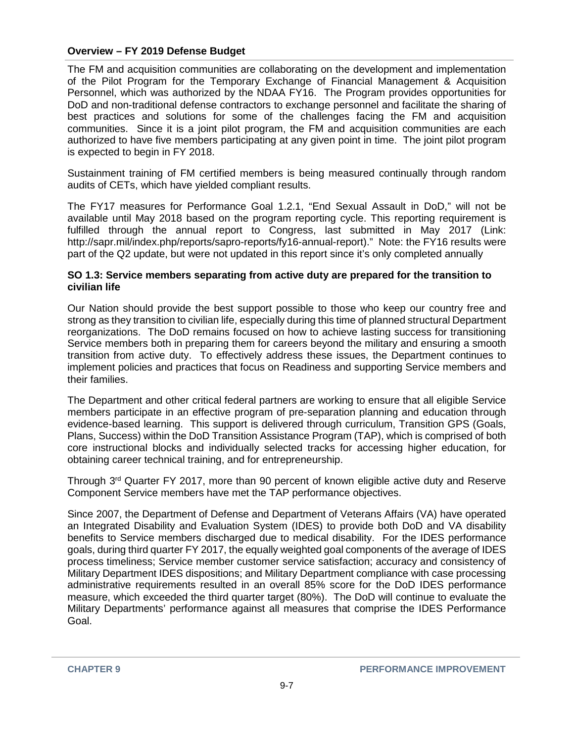The FM and acquisition communities are collaborating on the development and implementation of the Pilot Program for the Temporary Exchange of Financial Management & Acquisition Personnel, which was authorized by the NDAA FY16. The Program provides opportunities for DoD and non-traditional defense contractors to exchange personnel and facilitate the sharing of best practices and solutions for some of the challenges facing the FM and acquisition communities. Since it is a joint pilot program, the FM and acquisition communities are each authorized to have five members participating at any given point in time. The joint pilot program is expected to begin in FY 2018.

Sustainment training of FM certified members is being measured continually through random audits of CETs, which have yielded compliant results.

The FY17 measures for Performance Goal 1.2.1, "End Sexual Assault in DoD," will not be available until May 2018 based on the program reporting cycle. This reporting requirement is fulfilled through the annual report to Congress, last submitted in May 2017 (Link: [http://sapr.mil/index.php/reports/sapro-reports/fy16-annual-report\).](http://sapr.mil/index.php/reports/sapro-reports/fy16-annual-report))" Note: the FY16 results were part of the Q2 update, but were not updated in this report since it's only completed annually

#### **SO 1.3: Service members separating from active duty are prepared for the transition to civilian life**

Our Nation should provide the best support possible to those who keep our country free and strong as they transition to civilian life, especially during this time of planned structural Department reorganizations. The DoD remains focused on how to achieve lasting success for transitioning Service members both in preparing them for careers beyond the military and ensuring a smooth transition from active duty. To effectively address these issues, the Department continues to implement policies and practices that focus on Readiness and supporting Service members and their families.

The Department and other critical federal partners are working to ensure that all eligible Service members participate in an effective program of pre-separation planning and education through evidence-based learning. This support is delivered through curriculum, Transition GPS (Goals, Plans, Success) within the DoD Transition Assistance Program (TAP), which is comprised of both core instructional blocks and individually selected tracks for accessing higher education, for obtaining career technical training, and for entrepreneurship.

Through 3rd Quarter FY 2017, more than 90 percent of known eligible active duty and Reserve Component Service members have met the TAP performance objectives.

Since 2007, the Department of Defense and Department of Veterans Affairs (VA) have operated an Integrated Disability and Evaluation System (IDES) to provide both DoD and VA disability benefits to Service members discharged due to medical disability. For the IDES performance goals, during third quarter FY 2017, the equally weighted goal components of the average of IDES process timeliness; Service member customer service satisfaction; accuracy and consistency of Military Department IDES dispositions; and Military Department compliance with case processing administrative requirements resulted in an overall 85% score for the DoD IDES performance measure, which exceeded the third quarter target (80%). The DoD will continue to evaluate the Military Departments' performance against all measures that comprise the IDES Performance Goal.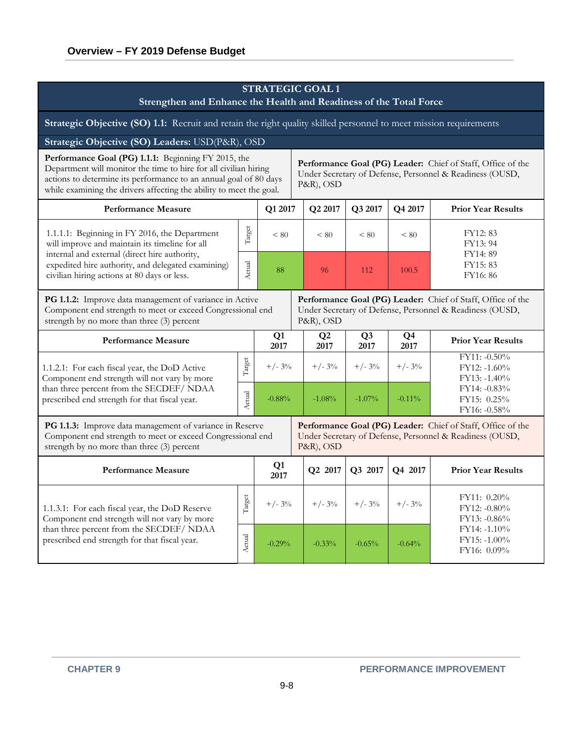| <b>STRATEGIC GOAL 1</b><br>Strengthen and Enhance the Health and Readiness of the Total Force                                                                                                                                                                       |                                               |                                                                                                                                             |                                                                                                                                      |                        |                        |                                                                                                                         |                                                       |  |  |
|---------------------------------------------------------------------------------------------------------------------------------------------------------------------------------------------------------------------------------------------------------------------|-----------------------------------------------|---------------------------------------------------------------------------------------------------------------------------------------------|--------------------------------------------------------------------------------------------------------------------------------------|------------------------|------------------------|-------------------------------------------------------------------------------------------------------------------------|-------------------------------------------------------|--|--|
| Strategic Objective (SO) 1.1: Recruit and retain the right quality skilled personnel to meet mission requirements                                                                                                                                                   |                                               |                                                                                                                                             |                                                                                                                                      |                        |                        |                                                                                                                         |                                                       |  |  |
| Strategic Objective (SO) Leaders: USD(P&R), OSD                                                                                                                                                                                                                     |                                               |                                                                                                                                             |                                                                                                                                      |                        |                        |                                                                                                                         |                                                       |  |  |
| Performance Goal (PG) 1.1.1: Beginning FY 2015, the<br>Department will monitor the time to hire for all civilian hiring<br>actions to determine its performance to an annual goal of 80 days<br>while examining the drivers affecting the ability to meet the goal. |                                               | <b>Performance Goal (PG) Leader:</b> Chief of Staff, Office of the<br>Under Secretary of Defense, Personnel & Readiness (OUSD,<br>P&R), OSD |                                                                                                                                      |                        |                        |                                                                                                                         |                                                       |  |  |
| <b>Performance Measure</b>                                                                                                                                                                                                                                          |                                               | Q1 2017                                                                                                                                     |                                                                                                                                      | Q2 2017                | Q3 2017                | Q4 2017                                                                                                                 | <b>Prior Year Results</b>                             |  |  |
| 1.1.1.1: Beginning in FY 2016, the Department<br>will improve and maintain its timeline for all                                                                                                                                                                     | Target                                        | ${}_{< 80}$                                                                                                                                 |                                                                                                                                      | ${}_{< 80}$            | ${}_{< 80}$            | ${}_{< 80}$                                                                                                             | FY12:83<br>FY13: 94                                   |  |  |
| internal and external (direct hire authority,<br>expedited hire authority, and delegated examining)<br>civilian hiring actions at 80 days or less.                                                                                                                  | Actual                                        | 88                                                                                                                                          | 112<br>96                                                                                                                            |                        | 100.5                  | FY14:89<br>FY15:83<br>FY16:86                                                                                           |                                                       |  |  |
| PG 1.1.2: Improve data management of variance in Active<br>Component end strength to meet or exceed Congressional end<br>strength by no more than three (3) percent                                                                                                 |                                               |                                                                                                                                             | P&R), OSD                                                                                                                            |                        |                        | Performance Goal (PG) Leader: Chief of Staff, Office of the<br>Under Secretary of Defense, Personnel & Readiness (OUSD, |                                                       |  |  |
| <b>Performance Measure</b>                                                                                                                                                                                                                                          |                                               | Q1<br>2017                                                                                                                                  |                                                                                                                                      | Q <sub>2</sub><br>2017 | Q <sub>3</sub><br>2017 | Q <sub>4</sub><br>2017                                                                                                  | <b>Prior Year Results</b>                             |  |  |
| 1.1.2.1: For each fiscal year, the DoD Active<br>Component end strength will not vary by more                                                                                                                                                                       | Target                                        | $+/- 3\%$                                                                                                                                   |                                                                                                                                      | $+/- 3\%$              | $+/- 3\%$              | $+/- 3\%$                                                                                                               | $FY11: -0.50\%$<br>$FY12: -1.60\%$<br>$FY13: -1.40\%$ |  |  |
| than three percent from the SECDEF/ NDAA<br>prescribed end strength for that fiscal year.                                                                                                                                                                           | $\Lambda{\rm c} {\rm t}{\rm u}{\rm a}{\rm l}$ | $-0.88%$                                                                                                                                    |                                                                                                                                      | $-1.08%$               | $-1.07%$               | $-0.11\%$                                                                                                               | $FY14: -0.83\%$<br>FY15: 0.25%<br>FY16: -0.58%        |  |  |
| PG 1.1.3: Improve data management of variance in Reserve<br>Component end strength to meet or exceed Congressional end<br>strength by no more than three (3) percent                                                                                                |                                               |                                                                                                                                             | Performance Goal (PG) Leader: Chief of Staff, Office of the<br>Under Secretary of Defense, Personnel & Readiness (OUSD,<br>P&R), OSD |                        |                        |                                                                                                                         |                                                       |  |  |
| <b>Performance Measure</b>                                                                                                                                                                                                                                          |                                               | Q1<br>2017                                                                                                                                  |                                                                                                                                      | Q2 2017                | Q3 2017                | Q4 2017                                                                                                                 | <b>Prior Year Results</b>                             |  |  |
| 1.1.3.1: For each fiscal year, the DoD Reserve<br>Component end strength will not vary by more                                                                                                                                                                      | Target                                        | $+/- 3\%$                                                                                                                                   |                                                                                                                                      | $+/- 3\%$              | $+/- 3\%$              | $+/- 3\%$                                                                                                               | FY11: 0.20%<br>FY12: -0.80%<br>FY13: -0.86%           |  |  |
| than three percent from the SECDEF/ NDAA<br>prescribed end strength for that fiscal year.                                                                                                                                                                           | Actual                                        | $-0.29%$                                                                                                                                    |                                                                                                                                      | $-0.33%$               | $-0.65%$               | $-0.64%$                                                                                                                | FY14: -1.10%<br>FY15: -1.00%<br>FY16: 0.09%           |  |  |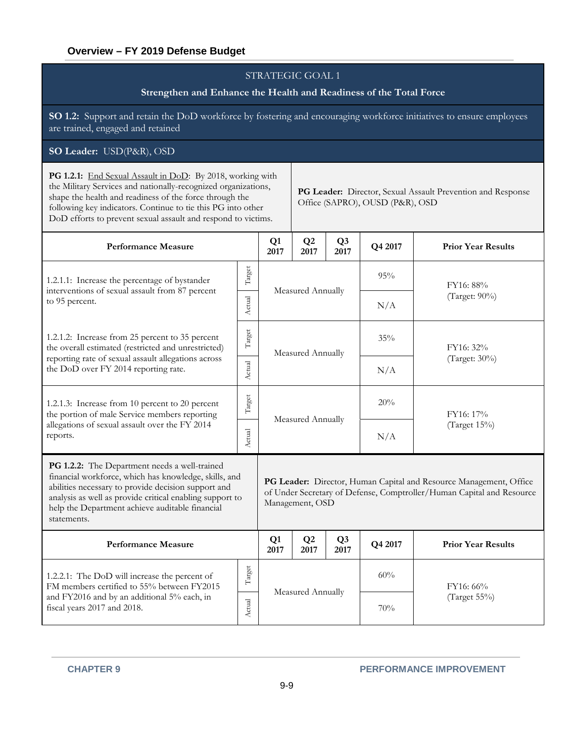#### **Strengthen and Enhance the Health and Readiness of the Total Force**

**SO 1.2:** Support and retain the DoD workforce by fostering and encouraging workforce initiatives to ensure employees are trained, engaged and retained

#### **SO Leader:** USD(P&R), OSD

PG 1.2.1: End Sexual Assault in DoD: By 2018, working with the Military Services and nationally-recognized organizations, shape the health and readiness of the force through the following key indicators. Continue to tie this PG into other DoD efforts to prevent sexual assault and respond to victims.

**PG Leader:** Director, Sexual Assault Prevention and Response Office (SAPRO), OUSD (P&R), OSD

| <b>Performance Measure</b>                                                                                                                                                                                                                                                                  |              |                   |                        | Q <sub>3</sub><br>2017 | Q4 2017 | <b>Prior Year Results</b>                                                                                                                   |  |  |
|---------------------------------------------------------------------------------------------------------------------------------------------------------------------------------------------------------------------------------------------------------------------------------------------|--------------|-------------------|------------------------|------------------------|---------|---------------------------------------------------------------------------------------------------------------------------------------------|--|--|
| 1.2.1.1: Increase the percentage of bystander                                                                                                                                                                                                                                               | Target       |                   | Measured Annually      |                        |         | FY16: 88%                                                                                                                                   |  |  |
| interventions of sexual assault from 87 percent<br>to 95 percent.                                                                                                                                                                                                                           | Actual       |                   |                        |                        | N/A     | (Target: 90%)                                                                                                                               |  |  |
| 1.2.1.2: Increase from 25 percent to 35 percent<br>the overall estimated (restricted and unrestricted)                                                                                                                                                                                      | Target       | Measured Annually |                        |                        | 35%     | FY16: 32%                                                                                                                                   |  |  |
| reporting rate of sexual assault allegations across<br>the DoD over FY 2014 reporting rate.                                                                                                                                                                                                 |              |                   |                        |                        | N/A     | (Target: 30%)                                                                                                                               |  |  |
| 1.2.1.3: Increase from 10 percent to 20 percent<br>the portion of male Service members reporting                                                                                                                                                                                            | Target       |                   |                        |                        | 20%     | FY16: 17%                                                                                                                                   |  |  |
| allegations of sexual assault over the FY 2014<br>reports.                                                                                                                                                                                                                                  |              |                   | Measured Annually      |                        | N/A     | (Target 15%)                                                                                                                                |  |  |
| PG 1.2.2: The Department needs a well-trained<br>financial workforce, which has knowledge, skills, and<br>abilities necessary to provide decision support and<br>analysis as well as provide critical enabling support to<br>help the Department achieve auditable financial<br>statements. |              |                   | Management, OSD        |                        |         | PG Leader: Director, Human Capital and Resource Management, Office<br>of Under Secretary of Defense, Comptroller/Human Capital and Resource |  |  |
| <b>Performance Measure</b>                                                                                                                                                                                                                                                                  |              | Q1<br>2017        | Q <sub>2</sub><br>2017 | Q <sub>3</sub><br>2017 | Q4 2017 | <b>Prior Year Results</b>                                                                                                                   |  |  |
| 1.2.2.1: The DoD will increase the percent of<br>FM members certified to 55% between FY2015                                                                                                                                                                                                 | $\rm Target$ | Measured Annually |                        |                        | 60%     | FY16: 66%                                                                                                                                   |  |  |
| and FY2016 and by an additional 5% each, in<br>fiscal years 2017 and 2018.                                                                                                                                                                                                                  | Actual       |                   |                        |                        | 70%     | (Target 55%)                                                                                                                                |  |  |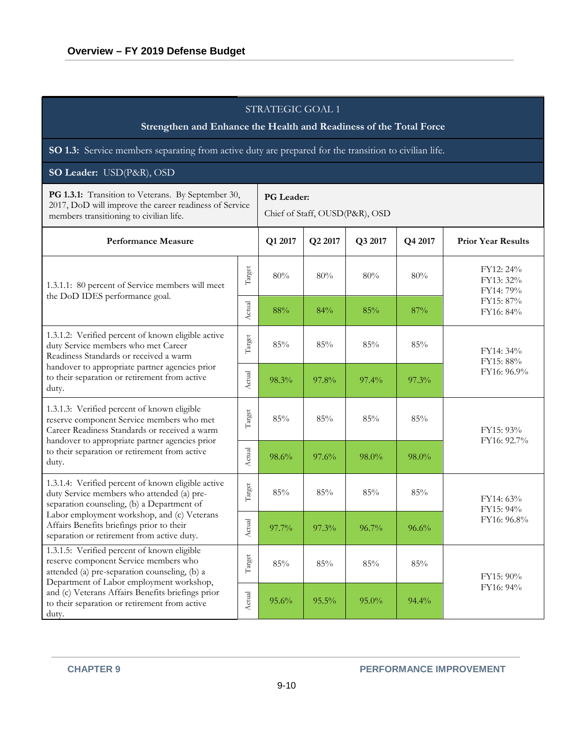| STRATEGIC GOAL 1<br>Strengthen and Enhance the Health and Readiness of the Total Force                                                                                                                                                          |                                              |         |         |          |         |                                       |  |  |  |  |
|-------------------------------------------------------------------------------------------------------------------------------------------------------------------------------------------------------------------------------------------------|----------------------------------------------|---------|---------|----------|---------|---------------------------------------|--|--|--|--|
| SO 1.3: Service members separating from active duty are prepared for the transition to civilian life.                                                                                                                                           |                                              |         |         |          |         |                                       |  |  |  |  |
| SO Leader: USD(P&R), OSD                                                                                                                                                                                                                        |                                              |         |         |          |         |                                       |  |  |  |  |
| PG 1.3.1: Transition to Veterans. By September 30,<br>2017, DoD will improve the career readiness of Service<br>members transitioning to civilian life.                                                                                         | PG Leader:<br>Chief of Staff, OUSD(P&R), OSD |         |         |          |         |                                       |  |  |  |  |
| <b>Performance Measure</b>                                                                                                                                                                                                                      |                                              | Q1 2017 | Q2 2017 | Q3 2017  | Q4 2017 | <b>Prior Year Results</b>             |  |  |  |  |
| 1.3.1.1: 80 percent of Service members will meet<br>the DoD IDES performance goal.                                                                                                                                                              | Target                                       | 80%     | 80%     | 80%      | 80%     | FY12: 24%<br>FY13: 32%<br>FY14: 79%   |  |  |  |  |
|                                                                                                                                                                                                                                                 | Actual                                       | $88\%$  | 84%     | 85%      | 87%     | FY15: 87%<br>FY16: 84%                |  |  |  |  |
| 1.3.1.2: Verified percent of known eligible active<br>duty Service members who met Career<br>Readiness Standards or received a warm<br>handover to appropriate partner agencies prior<br>to their separation or retirement from active<br>duty. | Target                                       | $85\%$  | 85%     | 85%      | 85%     | FY14: 34%<br>FY15: 88%<br>FY16: 96.9% |  |  |  |  |
|                                                                                                                                                                                                                                                 | Actual                                       | 98.3%   | 97.8%   | $97.4\%$ | 97.3%   |                                       |  |  |  |  |
| 1.3.1.3: Verified percent of known eligible<br>reserve component Service members who met<br>Career Readiness Standards or received a warm                                                                                                       | Target                                       | 85%     | 85%     | 85%      | 85%     | FY15: 93%                             |  |  |  |  |
| handover to appropriate partner agencies prior<br>to their separation or retirement from active<br>duty.                                                                                                                                        | Actual                                       | 98.6%   | 97.6%   | 98.0%    | 98.0%   | FY16: 92.7%                           |  |  |  |  |
| 1.3.1.4: Verified percent of known eligible active<br>duty Service members who attended (a) pre-<br>separation counseling, (b) a Department of                                                                                                  | Target                                       | 85%     | 85%     | 85%      | 85%     | FY14: 63%<br>FY15: 94%                |  |  |  |  |
| Labor employment workshop, and (c) Veterans<br>Affairs Benefits briefings prior to their<br>separation or retirement from active duty.                                                                                                          | Actual                                       | 97.7%   | 97.3%   | 96.7%    | 96.6%   | FY16: 96.8%                           |  |  |  |  |
| 1.3.1.5: Verified percent of known eligible<br>reserve component Service members who<br>attended (a) pre-separation counseling, (b) a                                                                                                           | Target                                       | $85\%$  | 85%     | 85%      | 85%     | FY15: 90%                             |  |  |  |  |
| Department of Labor employment workshop,<br>and (c) Veterans Affairs Benefits briefings prior<br>to their separation or retirement from active<br>duty.                                                                                         | Actual                                       | 95.6%   | 95.5%   | 95.0%    | 94.4%   | FY16: 94%                             |  |  |  |  |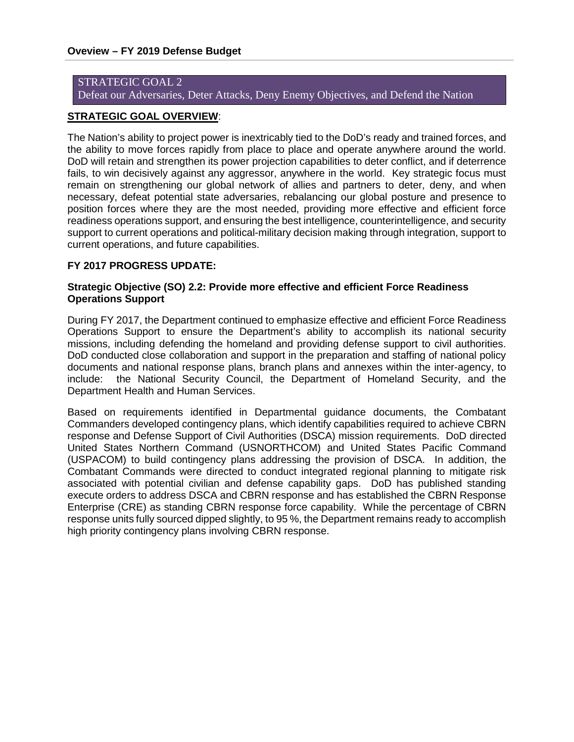Defeat our Adversaries, Deter Attacks, Deny Enemy Objectives, and Defend the Nation

#### **STRATEGIC GOAL OVERVIEW**:

The Nation's ability to project power is inextricably tied to the DoD's ready and trained forces, and the ability to move forces rapidly from place to place and operate anywhere around the world. DoD will retain and strengthen its power projection capabilities to deter conflict, and if deterrence fails, to win decisively against any aggressor, anywhere in the world. Key strategic focus must remain on strengthening our global network of allies and partners to deter, deny, and when necessary, defeat potential state adversaries, rebalancing our global posture and presence to position forces where they are the most needed, providing more effective and efficient force readiness operations support, and ensuring the best intelligence, counterintelligence, and security support to current operations and political-military decision making through integration, support to current operations, and future capabilities.

#### **FY 2017 PROGRESS UPDATE:**

#### **Strategic Objective (SO) 2.2: Provide more effective and efficient Force Readiness Operations Support**

During FY 2017, the Department continued to emphasize effective and efficient Force Readiness Operations Support to ensure the Department's ability to accomplish its national security missions, including defending the homeland and providing defense support to civil authorities. DoD conducted close collaboration and support in the preparation and staffing of national policy documents and national response plans, branch plans and annexes within the inter-agency, to include: the National Security Council, the Department of Homeland Security, and the Department Health and Human Services.

Based on requirements identified in Departmental guidance documents, the Combatant Commanders developed contingency plans, which identify capabilities required to achieve CBRN response and Defense Support of Civil Authorities (DSCA) mission requirements. DoD directed United States Northern Command (USNORTHCOM) and United States Pacific Command (USPACOM) to build contingency plans addressing the provision of DSCA. In addition, the Combatant Commands were directed to conduct integrated regional planning to mitigate risk associated with potential civilian and defense capability gaps. DoD has published standing execute orders to address DSCA and CBRN response and has established the CBRN Response Enterprise (CRE) as standing CBRN response force capability. While the percentage of CBRN response units fully sourced dipped slightly, to 95 %, the Department remains ready to accomplish high priority contingency plans involving CBRN response.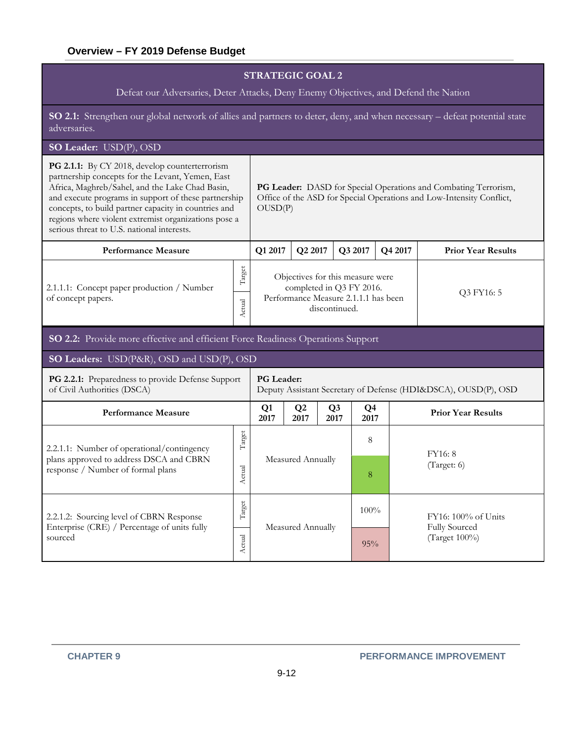Defeat our Adversaries, Deter Attacks, Deny Enemy Objectives, and Defend the Nation

**SO 2.1:** Strengthen our global network of allies and partners to deter, deny, and when necessary – defeat potential state adversaries.

# **SO Leader:** USD(P), OSD

| PG 2.1.1: By CY 2018, develop counterterrorism<br>partnership concepts for the Levant, Yemen, East<br>Africa, Maghreb/Sahel, and the Lake Chad Basin,<br>and execute programs in support of these partnership<br>concepts, to build partner capacity in countries and<br>regions where violent extremist organizations pose a<br>serious threat to U.S. national interests. | PG Leader: DASD for Special Operations and Combating Terrorism,<br>Office of the ASD for Special Operations and Low-Intensity Conflict,<br>OUSD(P) |                                                                                                                       |                        |                        |                        |                                      |                           |  |
|-----------------------------------------------------------------------------------------------------------------------------------------------------------------------------------------------------------------------------------------------------------------------------------------------------------------------------------------------------------------------------|----------------------------------------------------------------------------------------------------------------------------------------------------|-----------------------------------------------------------------------------------------------------------------------|------------------------|------------------------|------------------------|--------------------------------------|---------------------------|--|
| <b>Performance Measure</b>                                                                                                                                                                                                                                                                                                                                                  |                                                                                                                                                    | Q1 2017                                                                                                               | Q2 2017                |                        | Q3 2017                | Q4 2017                              | <b>Prior Year Results</b> |  |
| 2.1.1.1: Concept paper production / Number<br>of concept papers.                                                                                                                                                                                                                                                                                                            | Target<br>Actual                                                                                                                                   | Objectives for this measure were<br>completed in Q3 FY 2016.<br>Performance Measure 2.1.1.1 has been<br>discontinued. |                        |                        |                        |                                      | Q3 FY16: 5                |  |
| SO 2.2: Provide more effective and efficient Force Readiness Operations Support                                                                                                                                                                                                                                                                                             |                                                                                                                                                    |                                                                                                                       |                        |                        |                        |                                      |                           |  |
| SO Leaders: USD(P&R), OSD and USD(P), OSD                                                                                                                                                                                                                                                                                                                                   |                                                                                                                                                    |                                                                                                                       |                        |                        |                        |                                      |                           |  |
| PG 2.2.1: Preparedness to provide Defense Support<br>of Civil Authorities (DSCA)                                                                                                                                                                                                                                                                                            |                                                                                                                                                    | <b>PG</b> Leader:<br>Deputy Assistant Secretary of Defense (HDI&DSCA), OUSD(P), OSD                                   |                        |                        |                        |                                      |                           |  |
| <b>Performance Measure</b>                                                                                                                                                                                                                                                                                                                                                  |                                                                                                                                                    | Q1<br>2017                                                                                                            | Q <sub>2</sub><br>2017 | Q <sub>3</sub><br>2017 | Q <sub>4</sub><br>2017 |                                      | <b>Prior Year Results</b> |  |
| 2.2.1.1: Number of operational/contingency                                                                                                                                                                                                                                                                                                                                  | Target                                                                                                                                             |                                                                                                                       |                        |                        | 8                      |                                      | FY16: 8                   |  |
| plans approved to address DSCA and CBRN<br>response / Number of formal plans                                                                                                                                                                                                                                                                                                | Actual                                                                                                                                             |                                                                                                                       | Measured Annually      |                        | 8                      |                                      | (Target: 6)               |  |
| 2.2.1.2: Sourcing level of CBRN Response                                                                                                                                                                                                                                                                                                                                    | Target                                                                                                                                             |                                                                                                                       |                        | 100%                   |                        | FY16: 100% of Units<br>Fully Sourced |                           |  |
| Enterprise (CRE) / Percentage of units fully<br>sourced                                                                                                                                                                                                                                                                                                                     |                                                                                                                                                    | Measured Annually                                                                                                     |                        |                        | 95%                    |                                      | (Target 100%)             |  |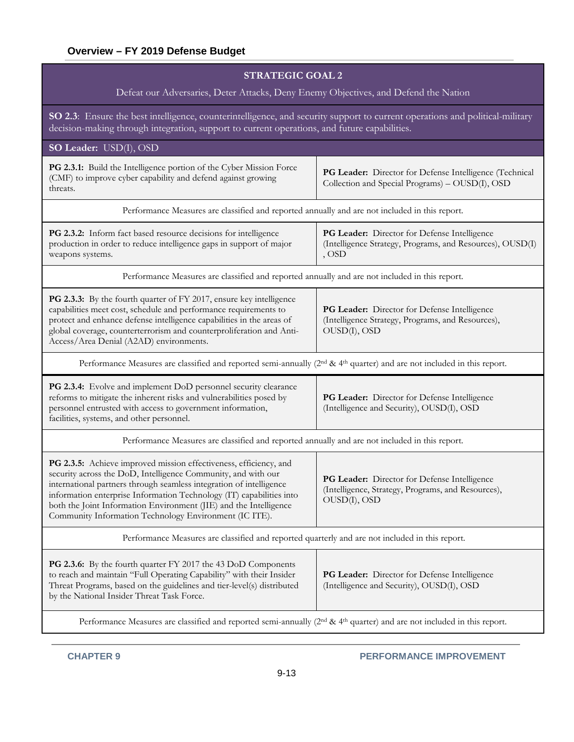| <b>STRATEGIC GOAL 2</b>                                                                                                                                                                                                                                                                                                                                                                                          |                                                                                                                    |  |  |  |  |  |  |  |  |
|------------------------------------------------------------------------------------------------------------------------------------------------------------------------------------------------------------------------------------------------------------------------------------------------------------------------------------------------------------------------------------------------------------------|--------------------------------------------------------------------------------------------------------------------|--|--|--|--|--|--|--|--|
| Defeat our Adversaries, Deter Attacks, Deny Enemy Objectives, and Defend the Nation                                                                                                                                                                                                                                                                                                                              |                                                                                                                    |  |  |  |  |  |  |  |  |
| SO 2.3: Ensure the best intelligence, counterintelligence, and security support to current operations and political-military<br>decision-making through integration, support to current operations, and future capabilities.                                                                                                                                                                                     |                                                                                                                    |  |  |  |  |  |  |  |  |
| SO Leader: USD(I), OSD                                                                                                                                                                                                                                                                                                                                                                                           |                                                                                                                    |  |  |  |  |  |  |  |  |
| PG 2.3.1: Build the Intelligence portion of the Cyber Mission Force<br>(CMF) to improve cyber capability and defend against growing<br>threats.                                                                                                                                                                                                                                                                  | PG Leader: Director for Defense Intelligence (Technical<br>Collection and Special Programs) - OUSD(I), OSD         |  |  |  |  |  |  |  |  |
| Performance Measures are classified and reported annually and are not included in this report.                                                                                                                                                                                                                                                                                                                   |                                                                                                                    |  |  |  |  |  |  |  |  |
| PG 2.3.2: Inform fact based resource decisions for intelligence<br>production in order to reduce intelligence gaps in support of major<br>weapons systems.                                                                                                                                                                                                                                                       | PG Leader: Director for Defense Intelligence<br>(Intelligence Strategy, Programs, and Resources), OUSD(I)<br>, OSD |  |  |  |  |  |  |  |  |
| Performance Measures are classified and reported annually and are not included in this report.                                                                                                                                                                                                                                                                                                                   |                                                                                                                    |  |  |  |  |  |  |  |  |
| PG 2.3.3: By the fourth quarter of FY 2017, ensure key intelligence<br>capabilities meet cost, schedule and performance requirements to<br>protect and enhance defense intelligence capabilities in the areas of<br>global coverage, counterterrorism and counterproliferation and Anti-<br>Access/Area Denial (A2AD) environments.                                                                              | PG Leader: Director for Defense Intelligence<br>(Intelligence Strategy, Programs, and Resources),<br>OUSD(I), OSD  |  |  |  |  |  |  |  |  |
| Performance Measures are classified and reported semi-annually (2 <sup>nd</sup> & 4 <sup>th</sup> quarter) and are not included in this report.                                                                                                                                                                                                                                                                  |                                                                                                                    |  |  |  |  |  |  |  |  |
| PG 2.3.4: Evolve and implement DoD personnel security clearance<br>reforms to mitigate the inherent risks and vulnerabilities posed by<br>personnel entrusted with access to government information,<br>facilities, systems, and other personnel.                                                                                                                                                                | PG Leader: Director for Defense Intelligence<br>(Intelligence and Security), OUSD(I), OSD                          |  |  |  |  |  |  |  |  |
| Performance Measures are classified and reported annually and are not included in this report.                                                                                                                                                                                                                                                                                                                   |                                                                                                                    |  |  |  |  |  |  |  |  |
| PG 2.3.5: Achieve improved mission effectiveness, efficiency, and<br>security across the DoD, Intelligence Community, and with our<br>international partners through seamless integration of intelligence<br>information enterprise Information Technology (IT) capabilities into<br>both the Joint Information Environment (JIE) and the Intelligence<br>Community Information Technology Environment (IC ITE). | PG Leader: Director for Defense Intelligence<br>(Intelligence, Strategy, Programs, and Resources),<br>OUSD(I), OSD |  |  |  |  |  |  |  |  |
| Performance Measures are classified and reported quarterly and are not included in this report.                                                                                                                                                                                                                                                                                                                  |                                                                                                                    |  |  |  |  |  |  |  |  |
| <b>PG 2.3.6:</b> By the fourth quarter FY 2017 the 43 DoD Components<br>to reach and maintain "Full Operating Capability" with their Insider<br>Threat Programs, based on the guidelines and tier-level(s) distributed<br>by the National Insider Threat Task Force.                                                                                                                                             | PG Leader: Director for Defense Intelligence<br>(Intelligence and Security), OUSD(I), OSD                          |  |  |  |  |  |  |  |  |
| Performance Measures are classified and reported semi-annually (2 <sup>nd</sup> & 4 <sup>th</sup> quarter) and are not included in this report.                                                                                                                                                                                                                                                                  |                                                                                                                    |  |  |  |  |  |  |  |  |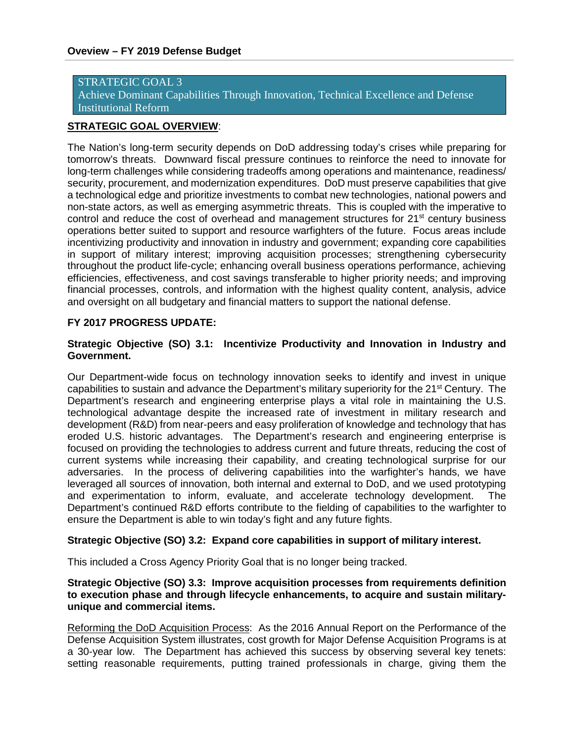Achieve Dominant Capabilities Through Innovation, Technical Excellence and Defense Institutional Reform

#### **STRATEGIC GOAL OVERVIEW**:

The Nation's long-term security depends on DoD addressing today's crises while preparing for tomorrow's threats. Downward fiscal pressure continues to reinforce the need to innovate for long-term challenges while considering tradeoffs among operations and maintenance, readiness/ security, procurement, and modernization expenditures. DoD must preserve capabilities that give a technological edge and prioritize investments to combat new technologies, national powers and non-state actors, as well as emerging asymmetric threats. This is coupled with the imperative to control and reduce the cost of overhead and management structures for  $21<sup>st</sup>$  century business operations better suited to support and resource warfighters of the future. Focus areas include incentivizing productivity and innovation in industry and government; expanding core capabilities in support of military interest; improving acquisition processes; strengthening cybersecurity throughout the product life-cycle; enhancing overall business operations performance, achieving efficiencies, effectiveness, and cost savings transferable to higher priority needs; and improving financial processes, controls, and information with the highest quality content, analysis, advice and oversight on all budgetary and financial matters to support the national defense.

#### **FY 2017 PROGRESS UPDATE:**

#### **Strategic Objective (SO) 3.1: Incentivize Productivity and Innovation in Industry and Government.**

Our Department-wide focus on technology innovation seeks to identify and invest in unique capabilities to sustain and advance the Department's military superiority for the 21<sup>st</sup> Century. The Department's research and engineering enterprise plays a vital role in maintaining the U.S. technological advantage despite the increased rate of investment in military research and development (R&D) from near-peers and easy proliferation of knowledge and technology that has eroded U.S. historic advantages. The Department's research and engineering enterprise is focused on providing the technologies to address current and future threats, reducing the cost of current systems while increasing their capability, and creating technological surprise for our adversaries. In the process of delivering capabilities into the warfighter's hands, we have leveraged all sources of innovation, both internal and external to DoD, and we used prototyping and experimentation to inform, evaluate, and accelerate technology development. The Department's continued R&D efforts contribute to the fielding of capabilities to the warfighter to ensure the Department is able to win today's fight and any future fights.

#### **Strategic Objective (SO) 3.2: Expand core capabilities in support of military interest.**

This included a Cross Agency Priority Goal that is no longer being tracked.

#### **Strategic Objective (SO) 3.3: Improve acquisition processes from requirements definition to execution phase and through lifecycle enhancements, to acquire and sustain militaryunique and commercial items.**

Reforming the DoD Acquisition Process: As the 2016 Annual Report on the Performance of the Defense Acquisition System illustrates, cost growth for Major Defense Acquisition Programs is at a 30-year low. The Department has achieved this success by observing several key tenets: setting reasonable requirements, putting trained professionals in charge, giving them the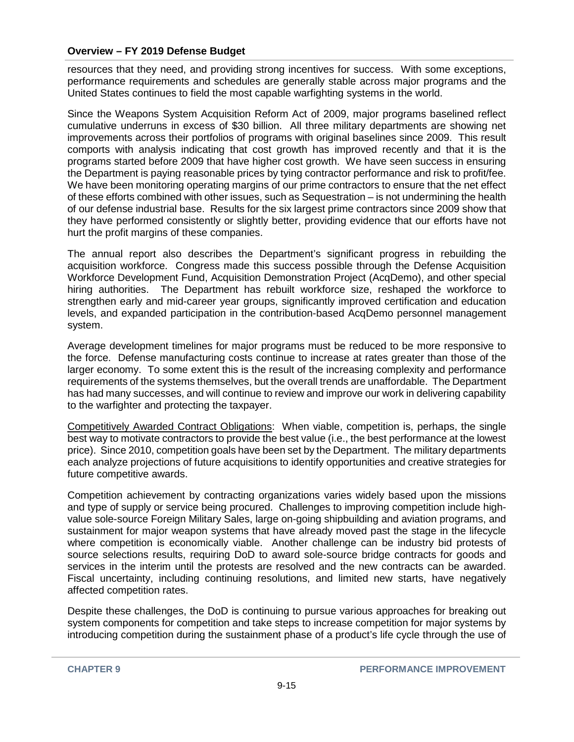resources that they need, and providing strong incentives for success. With some exceptions, performance requirements and schedules are generally stable across major programs and the United States continues to field the most capable warfighting systems in the world.

Since the Weapons System Acquisition Reform Act of 2009, major programs baselined reflect cumulative underruns in excess of \$30 billion. All three military departments are showing net improvements across their portfolios of programs with original baselines since 2009. This result comports with analysis indicating that cost growth has improved recently and that it is the programs started before 2009 that have higher cost growth. We have seen success in ensuring the Department is paying reasonable prices by tying contractor performance and risk to profit/fee. We have been monitoring operating margins of our prime contractors to ensure that the net effect of these efforts combined with other issues, such as Sequestration – is not undermining the health of our defense industrial base. Results for the six largest prime contractors since 2009 show that they have performed consistently or slightly better, providing evidence that our efforts have not hurt the profit margins of these companies.

The annual report also describes the Department's significant progress in rebuilding the acquisition workforce. Congress made this success possible through the Defense Acquisition Workforce Development Fund, Acquisition Demonstration Project (AcqDemo), and other special hiring authorities. The Department has rebuilt workforce size, reshaped the workforce to strengthen early and mid-career year groups, significantly improved certification and education levels, and expanded participation in the contribution-based AcqDemo personnel management system.

Average development timelines for major programs must be reduced to be more responsive to the force. Defense manufacturing costs continue to increase at rates greater than those of the larger economy. To some extent this is the result of the increasing complexity and performance requirements of the systems themselves, but the overall trends are unaffordable. The Department has had many successes, and will continue to review and improve our work in delivering capability to the warfighter and protecting the taxpayer.

Competitively Awarded Contract Obligations: When viable, competition is, perhaps, the single best way to motivate contractors to provide the best value (i.e., the best performance at the lowest price). Since 2010, competition goals have been set by the Department. The military departments each analyze projections of future acquisitions to identify opportunities and creative strategies for future competitive awards.

Competition achievement by contracting organizations varies widely based upon the missions and type of supply or service being procured. Challenges to improving competition include highvalue sole-source Foreign Military Sales, large on-going shipbuilding and aviation programs, and sustainment for major weapon systems that have already moved past the stage in the lifecycle where competition is economically viable. Another challenge can be industry bid protests of source selections results, requiring DoD to award sole-source bridge contracts for goods and services in the interim until the protests are resolved and the new contracts can be awarded. Fiscal uncertainty, including continuing resolutions, and limited new starts, have negatively affected competition rates.

Despite these challenges, the DoD is continuing to pursue various approaches for breaking out system components for competition and take steps to increase competition for major systems by introducing competition during the sustainment phase of a product's life cycle through the use of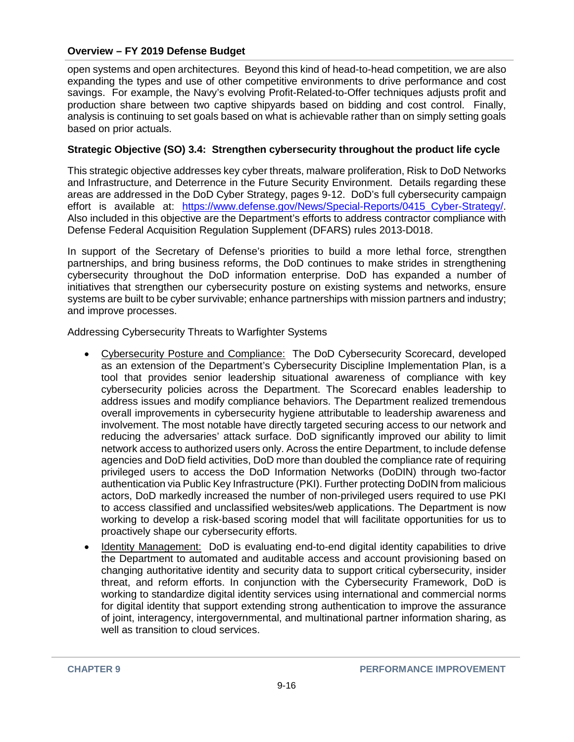open systems and open architectures. Beyond this kind of head-to-head competition, we are also expanding the types and use of other competitive environments to drive performance and cost savings. For example, the Navy's evolving Profit-Related-to-Offer techniques adjusts profit and production share between two captive shipyards based on bidding and cost control. Finally, analysis is continuing to set goals based on what is achievable rather than on simply setting goals based on prior actuals.

### **Strategic Objective (SO) 3.4: Strengthen cybersecurity throughout the product life cycle**

This strategic objective addresses key cyber threats, malware proliferation, Risk to DoD Networks and Infrastructure, and Deterrence in the Future Security Environment. Details regarding these areas are addressed in the DoD Cyber Strategy, pages 9-12. DoD's full cybersecurity campaign effort is available at: https://www.defense.gov/News/Special-Reports/0415 Cyber-Strategy/. Also included in this objective are the Department's efforts to address contractor compliance with Defense Federal Acquisition Regulation Supplement (DFARS) rules 2013-D018.

In support of the Secretary of Defense's priorities to build a more lethal force, strengthen partnerships, and bring business reforms, the DoD continues to make strides in strengthening cybersecurity throughout the DoD information enterprise. DoD has expanded a number of initiatives that strengthen our cybersecurity posture on existing systems and networks, ensure systems are built to be cyber survivable; enhance partnerships with mission partners and industry; and improve processes.

Addressing Cybersecurity Threats to Warfighter Systems

- Cybersecurity Posture and Compliance: The DoD Cybersecurity Scorecard, developed as an extension of the Department's Cybersecurity Discipline Implementation Plan, is a tool that provides senior leadership situational awareness of compliance with key cybersecurity policies across the Department. The Scorecard enables leadership to address issues and modify compliance behaviors. The Department realized tremendous overall improvements in cybersecurity hygiene attributable to leadership awareness and involvement. The most notable have directly targeted securing access to our network and reducing the adversaries' attack surface. DoD significantly improved our ability to limit network access to authorized users only. Across the entire Department, to include defense agencies and DoD field activities, DoD more than doubled the compliance rate of requiring privileged users to access the DoD Information Networks (DoDIN) through two-factor authentication via Public Key Infrastructure (PKI). Further protecting DoDIN from malicious actors, DoD markedly increased the number of non-privileged users required to use PKI to access classified and unclassified websites/web applications. The Department is now working to develop a risk-based scoring model that will facilitate opportunities for us to proactively shape our cybersecurity efforts.
- Identity Management: DoD is evaluating end-to-end digital identity capabilities to drive the Department to automated and auditable access and account provisioning based on changing authoritative identity and security data to support critical cybersecurity, insider threat, and reform efforts. In conjunction with the Cybersecurity Framework, DoD is working to standardize digital identity services using international and commercial norms for digital identity that support extending strong authentication to improve the assurance of joint, interagency, intergovernmental, and multinational partner information sharing, as well as transition to cloud services.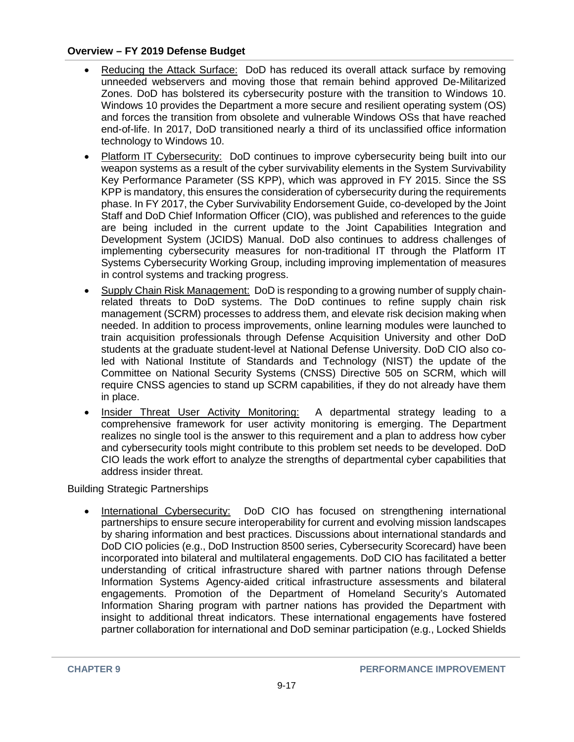- Reducing the Attack Surface:DoD has reduced its overall attack surface by removing unneeded webservers and moving those that remain behind approved De-Militarized Zones. DoD has bolstered its cybersecurity posture with the transition to Windows 10. Windows 10 provides the Department a more secure and resilient operating system (OS) and forces the transition from obsolete and vulnerable Windows OSs that have reached end-of-life. In 2017, DoD transitioned nearly a third of its unclassified office information technology to Windows 10.
- Platform IT Cybersecurity: DoD continues to improve cybersecurity being built into our weapon systems as a result of the cyber survivability elements in the System Survivability Key Performance Parameter (SS KPP), which was approved in FY 2015. Since the SS KPP is mandatory, this ensures the consideration of cybersecurity during the requirements phase. In FY 2017, the Cyber Survivability Endorsement Guide, co-developed by the Joint Staff and DoD Chief Information Officer (CIO), was published and references to the guide are being included in the current update to the Joint Capabilities Integration and Development System (JCIDS) Manual. DoD also continues to address challenges of implementing cybersecurity measures for non-traditional IT through the Platform IT Systems Cybersecurity Working Group, including improving implementation of measures in control systems and tracking progress.
- Supply Chain Risk Management: DoD is responding to a growing number of supply chainrelated threats to DoD systems. The DoD continues to refine supply chain risk management (SCRM) processes to address them, and elevate risk decision making when needed. In addition to process improvements, online learning modules were launched to train acquisition professionals through Defense Acquisition University and other DoD students at the graduate student-level at National Defense University. DoD CIO also coled with National Institute of Standards and Technology (NIST) the update of the Committee on National Security Systems (CNSS) Directive 505 on SCRM, which will require CNSS agencies to stand up SCRM capabilities, if they do not already have them in place.
- Insider Threat User Activity Monitoring: A departmental strategy leading to a comprehensive framework for user activity monitoring is emerging. The Department realizes no single tool is the answer to this requirement and a plan to address how cyber and cybersecurity tools might contribute to this problem set needs to be developed. DoD CIO leads the work effort to analyze the strengths of departmental cyber capabilities that address insider threat.

#### Building Strategic Partnerships

• International Cybersecurity: DoD CIO has focused on strengthening international partnerships to ensure secure interoperability for current and evolving mission landscapes by sharing information and best practices. Discussions about international standards and DoD CIO policies (e.g., DoD Instruction 8500 series, Cybersecurity Scorecard) have been incorporated into bilateral and multilateral engagements. DoD CIO has facilitated a better understanding of critical infrastructure shared with partner nations through Defense Information Systems Agency-aided critical infrastructure assessments and bilateral engagements. Promotion of the Department of Homeland Security's Automated Information Sharing program with partner nations has provided the Department with insight to additional threat indicators. These international engagements have fostered partner collaboration for international and DoD seminar participation (e.g., Locked Shields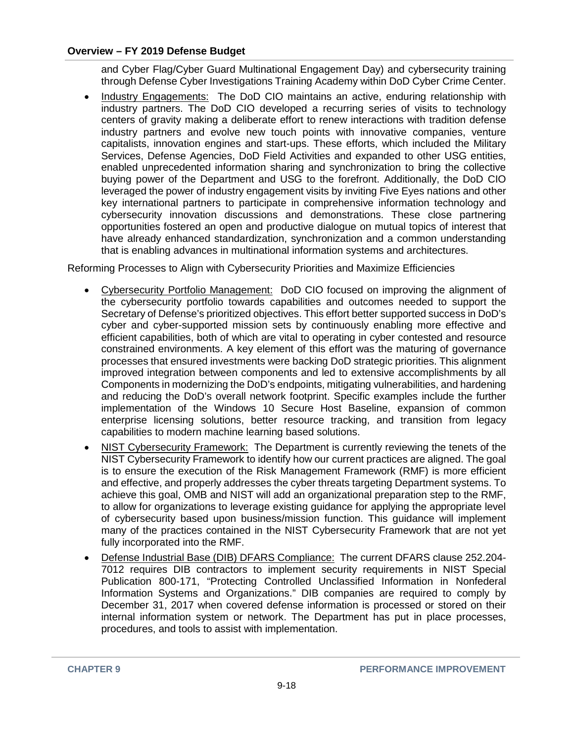and Cyber Flag/Cyber Guard Multinational Engagement Day) and cybersecurity training through Defense Cyber Investigations Training Academy within DoD Cyber Crime Center.

• Industry Engagements: The DoD CIO maintains an active, enduring relationship with industry partners. The DoD CIO developed a recurring series of visits to technology centers of gravity making a deliberate effort to renew interactions with tradition defense industry partners and evolve new touch points with innovative companies, venture capitalists, innovation engines and start-ups. These efforts, which included the Military Services, Defense Agencies, DoD Field Activities and expanded to other USG entities, enabled unprecedented information sharing and synchronization to bring the collective buying power of the Department and USG to the forefront. Additionally, the DoD CIO leveraged the power of industry engagement visits by inviting Five Eyes nations and other key international partners to participate in comprehensive information technology and cybersecurity innovation discussions and demonstrations. These close partnering opportunities fostered an open and productive dialogue on mutual topics of interest that have already enhanced standardization, synchronization and a common understanding that is enabling advances in multinational information systems and architectures.

Reforming Processes to Align with Cybersecurity Priorities and Maximize Efficiencies

- Cybersecurity Portfolio Management:DoD CIO focused on improving the alignment of the cybersecurity portfolio towards capabilities and outcomes needed to support the Secretary of Defense's prioritized objectives. This effort better supported success in DoD's cyber and cyber-supported mission sets by continuously enabling more effective and efficient capabilities, both of which are vital to operating in cyber contested and resource constrained environments. A key element of this effort was the maturing of governance processes that ensured investments were backing DoD strategic priorities. This alignment improved integration between components and led to extensive accomplishments by all Components in modernizing the DoD's endpoints, mitigating vulnerabilities, and hardening and reducing the DoD's overall network footprint. Specific examples include the further implementation of the Windows 10 Secure Host Baseline, expansion of common enterprise licensing solutions, better resource tracking, and transition from legacy capabilities to modern machine learning based solutions.
- NIST Cybersecurity Framework: The Department is currently reviewing the tenets of the NIST Cybersecurity Framework to identify how our current practices are aligned. The goal is to ensure the execution of the Risk Management Framework (RMF) is more efficient and effective, and properly addresses the cyber threats targeting Department systems. To achieve this goal, OMB and NIST will add an organizational preparation step to the RMF, to allow for organizations to leverage existing guidance for applying the appropriate level of cybersecurity based upon business/mission function. This guidance will implement many of the practices contained in the NIST Cybersecurity Framework that are not yet fully incorporated into the RMF.
- Defense Industrial Base (DIB) DFARS Compliance: The current DFARS clause 252.204-7012 requires DIB contractors to implement security requirements in NIST Special Publication 800-171, "Protecting Controlled Unclassified Information in Nonfederal Information Systems and Organizations." DIB companies are required to comply by December 31, 2017 when covered defense information is processed or stored on their internal information system or network. The Department has put in place processes, procedures, and tools to assist with implementation.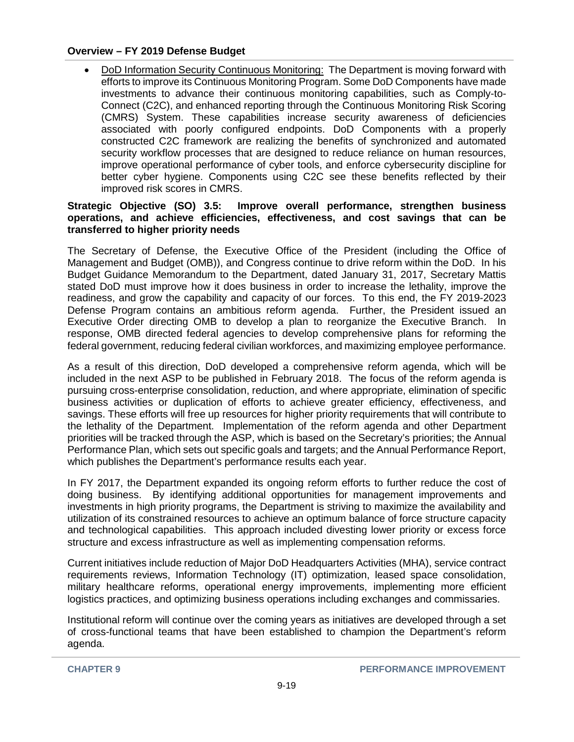• DoD Information Security Continuous Monitoring:The Department is moving forward with efforts to improve its Continuous Monitoring Program. Some DoD Components have made investments to advance their continuous monitoring capabilities, such as Comply-to-Connect (C2C), and enhanced reporting through the Continuous Monitoring Risk Scoring (CMRS) System. These capabilities increase security awareness of deficiencies associated with poorly configured endpoints. DoD Components with a properly constructed C2C framework are realizing the benefits of synchronized and automated security workflow processes that are designed to reduce reliance on human resources, improve operational performance of cyber tools, and enforce cybersecurity discipline for better cyber hygiene. Components using C2C see these benefits reflected by their improved risk scores in CMRS.

#### **Strategic Objective (SO) 3.5: Improve overall performance, strengthen business operations, and achieve efficiencies, effectiveness, and cost savings that can be transferred to higher priority needs**

The Secretary of Defense, the Executive Office of the President (including the Office of Management and Budget (OMB)), and Congress continue to drive reform within the DoD. In his Budget Guidance Memorandum to the Department, dated January 31, 2017, Secretary Mattis stated DoD must improve how it does business in order to increase the lethality, improve the readiness, and grow the capability and capacity of our forces. To this end, the FY 2019-2023 Defense Program contains an ambitious reform agenda. Further, the President issued an Executive Order directing OMB to develop a plan to reorganize the Executive Branch. In response, OMB directed federal agencies to develop comprehensive plans for reforming the federal government, reducing federal civilian workforces, and maximizing employee performance.

As a result of this direction, DoD developed a comprehensive reform agenda, which will be included in the next ASP to be published in February 2018. The focus of the reform agenda is pursuing cross-enterprise consolidation, reduction, and where appropriate, elimination of specific business activities or duplication of efforts to achieve greater efficiency, effectiveness, and savings. These efforts will free up resources for higher priority requirements that will contribute to the lethality of the Department. Implementation of the reform agenda and other Department priorities will be tracked through the ASP, which is based on the Secretary's priorities; the Annual Performance Plan, which sets out specific goals and targets; and the Annual Performance Report, which publishes the Department's performance results each year.

In FY 2017, the Department expanded its ongoing reform efforts to further reduce the cost of doing business. By identifying additional opportunities for management improvements and investments in high priority programs, the Department is striving to maximize the availability and utilization of its constrained resources to achieve an optimum balance of force structure capacity and technological capabilities. This approach included divesting lower priority or excess force structure and excess infrastructure as well as implementing compensation reforms.

Current initiatives include reduction of Major DoD Headquarters Activities (MHA), service contract requirements reviews, Information Technology (IT) optimization, leased space consolidation, military healthcare reforms, operational energy improvements, implementing more efficient logistics practices, and optimizing business operations including exchanges and commissaries.

Institutional reform will continue over the coming years as initiatives are developed through a set of cross-functional teams that have been established to champion the Department's reform agenda.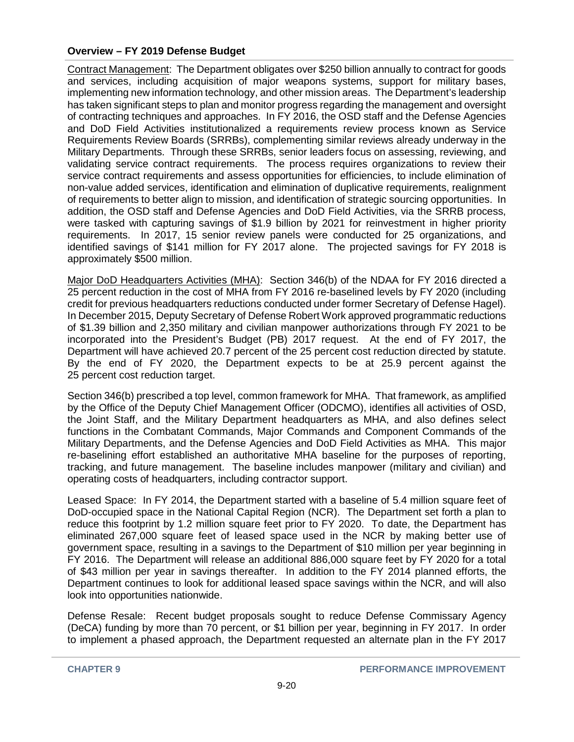Contract Management: The Department obligates over \$250 billion annually to contract for goods and services, including acquisition of major weapons systems, support for military bases, implementing new information technology, and other mission areas. The Department's leadership has taken significant steps to plan and monitor progress regarding the management and oversight of contracting techniques and approaches. In FY 2016, the OSD staff and the Defense Agencies and DoD Field Activities institutionalized a requirements review process known as Service Requirements Review Boards (SRRBs), complementing similar reviews already underway in the Military Departments. Through these SRRBs, senior leaders focus on assessing, reviewing, and validating service contract requirements. The process requires organizations to review their service contract requirements and assess opportunities for efficiencies, to include elimination of non-value added services, identification and elimination of duplicative requirements, realignment of requirements to better align to mission, and identification of strategic sourcing opportunities. In addition, the OSD staff and Defense Agencies and DoD Field Activities, via the SRRB process, were tasked with capturing savings of \$1.9 billion by 2021 for reinvestment in higher priority requirements. In 2017, 15 senior review panels were conducted for 25 organizations, and identified savings of \$141 million for FY 2017 alone. The projected savings for FY 2018 is approximately \$500 million.

Major DoD Headquarters Activities (MHA): Section 346(b) of the NDAA for FY 2016 directed a 25 percent reduction in the cost of MHA from FY 2016 re-baselined levels by FY 2020 (including credit for previous headquarters reductions conducted under former Secretary of Defense Hagel). In December 2015, Deputy Secretary of Defense Robert Work approved programmatic reductions of \$1.39 billion and 2,350 military and civilian manpower authorizations through FY 2021 to be incorporated into the President's Budget (PB) 2017 request. At the end of FY 2017, the Department will have achieved 20.7 percent of the 25 percent cost reduction directed by statute. By the end of FY 2020, the Department expects to be at 25.9 percent against the 25 percent cost reduction target.

Section 346(b) prescribed a top level, common framework for MHA. That framework, as amplified by the Office of the Deputy Chief Management Officer (ODCMO), identifies all activities of OSD, the Joint Staff, and the Military Department headquarters as MHA, and also defines select functions in the Combatant Commands, Major Commands and Component Commands of the Military Departments, and the Defense Agencies and DoD Field Activities as MHA. This major re-baselining effort established an authoritative MHA baseline for the purposes of reporting, tracking, and future management. The baseline includes manpower (military and civilian) and operating costs of headquarters, including contractor support.

Leased Space: In FY 2014, the Department started with a baseline of 5.4 million square feet of DoD-occupied space in the National Capital Region (NCR). The Department set forth a plan to reduce this footprint by 1.2 million square feet prior to FY 2020. To date, the Department has eliminated 267,000 square feet of leased space used in the NCR by making better use of government space, resulting in a savings to the Department of \$10 million per year beginning in FY 2016. The Department will release an additional 886,000 square feet by FY 2020 for a total of \$43 million per year in savings thereafter. In addition to the FY 2014 planned efforts, the Department continues to look for additional leased space savings within the NCR, and will also look into opportunities nationwide.

Defense Resale: Recent budget proposals sought to reduce Defense Commissary Agency (DeCA) funding by more than 70 percent, or \$1 billion per year, beginning in FY 2017. In order to implement a phased approach, the Department requested an alternate plan in the FY 2017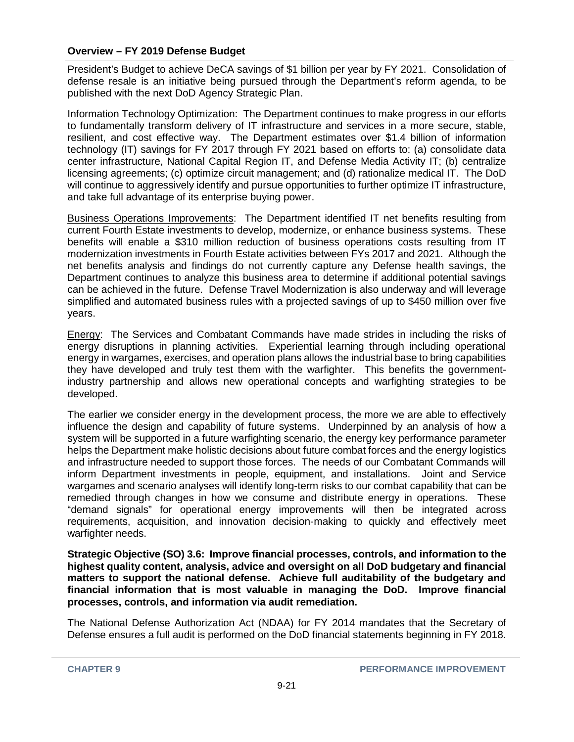President's Budget to achieve DeCA savings of \$1 billion per year by FY 2021. Consolidation of defense resale is an initiative being pursued through the Department's reform agenda, to be published with the next DoD Agency Strategic Plan.

Information Technology Optimization: The Department continues to make progress in our efforts to fundamentally transform delivery of IT infrastructure and services in a more secure, stable, resilient, and cost effective way. The Department estimates over \$1.4 billion of information technology (IT) savings for FY 2017 through FY 2021 based on efforts to: (a) consolidate data center infrastructure, National Capital Region IT, and Defense Media Activity IT; (b) centralize licensing agreements; (c) optimize circuit management; and (d) rationalize medical IT. The DoD will continue to aggressively identify and pursue opportunities to further optimize IT infrastructure, and take full advantage of its enterprise buying power.

Business Operations Improvements: The Department identified IT net benefits resulting from current Fourth Estate investments to develop, modernize, or enhance business systems. These benefits will enable a \$310 million reduction of business operations costs resulting from IT modernization investments in Fourth Estate activities between FYs 2017 and 2021. Although the net benefits analysis and findings do not currently capture any Defense health savings, the Department continues to analyze this business area to determine if additional potential savings can be achieved in the future. Defense Travel Modernization is also underway and will leverage simplified and automated business rules with a projected savings of up to \$450 million over five years.

Energy: The Services and Combatant Commands have made strides in including the risks of energy disruptions in planning activities. Experiential learning through including operational energy in wargames, exercises, and operation plans allows the industrial base to bring capabilities they have developed and truly test them with the warfighter. This benefits the governmentindustry partnership and allows new operational concepts and warfighting strategies to be developed.

The earlier we consider energy in the development process, the more we are able to effectively influence the design and capability of future systems. Underpinned by an analysis of how a system will be supported in a future warfighting scenario, the energy key performance parameter helps the Department make holistic decisions about future combat forces and the energy logistics and infrastructure needed to support those forces. The needs of our Combatant Commands will inform Department investments in people, equipment, and installations. Joint and Service wargames and scenario analyses will identify long-term risks to our combat capability that can be remedied through changes in how we consume and distribute energy in operations. These "demand signals" for operational energy improvements will then be integrated across requirements, acquisition, and innovation decision-making to quickly and effectively meet warfighter needs.

**Strategic Objective (SO) 3.6: Improve financial processes, controls, and information to the highest quality content, analysis, advice and oversight on all DoD budgetary and financial matters to support the national defense. Achieve full auditability of the budgetary and financial information that is most valuable in managing the DoD. Improve financial processes, controls, and information via audit remediation.**

The National Defense Authorization Act (NDAA) for FY 2014 mandates that the Secretary of Defense ensures a full audit is performed on the DoD financial statements beginning in FY 2018.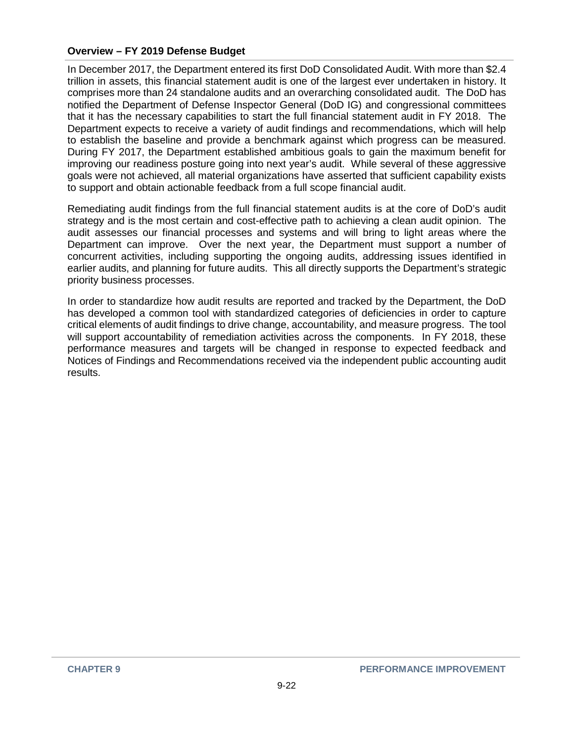In December 2017, the Department entered its first DoD Consolidated Audit. With more than \$2.4 trillion in assets, this financial statement audit is one of the largest ever undertaken in history. It comprises more than 24 standalone audits and an overarching consolidated audit. The DoD has notified the Department of Defense Inspector General (DoD IG) and congressional committees that it has the necessary capabilities to start the full financial statement audit in FY 2018. The Department expects to receive a variety of audit findings and recommendations, which will help to establish the baseline and provide a benchmark against which progress can be measured. During FY 2017, the Department established ambitious goals to gain the maximum benefit for improving our readiness posture going into next year's audit. While several of these aggressive goals were not achieved, all material organizations have asserted that sufficient capability exists to support and obtain actionable feedback from a full scope financial audit.

Remediating audit findings from the full financial statement audits is at the core of DoD's audit strategy and is the most certain and cost-effective path to achieving a clean audit opinion. The audit assesses our financial processes and systems and will bring to light areas where the Department can improve. Over the next year, the Department must support a number of concurrent activities, including supporting the ongoing audits, addressing issues identified in earlier audits, and planning for future audits. This all directly supports the Department's strategic priority business processes.

In order to standardize how audit results are reported and tracked by the Department, the DoD has developed a common tool with standardized categories of deficiencies in order to capture critical elements of audit findings to drive change, accountability, and measure progress. The tool will support accountability of remediation activities across the components. In FY 2018, these performance measures and targets will be changed in response to expected feedback and Notices of Findings and Recommendations received via the independent public accounting audit results.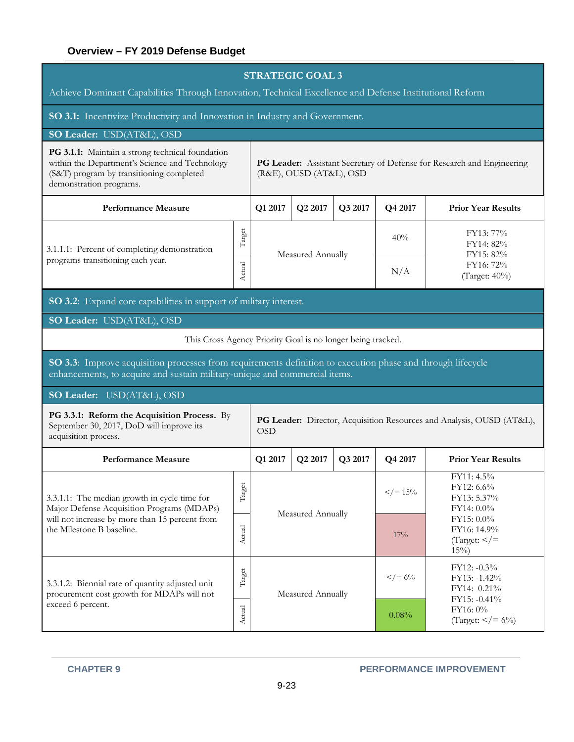| <b>STRATEGIC GOAL 3</b><br>Achieve Dominant Capabilities Through Innovation, Technical Excellence and Defense Institutional Reform                                                        |        |                                                                                                   |                     |         |                       |                                                                        |  |  |  |
|-------------------------------------------------------------------------------------------------------------------------------------------------------------------------------------------|--------|---------------------------------------------------------------------------------------------------|---------------------|---------|-----------------------|------------------------------------------------------------------------|--|--|--|
| SO 3.1: Incentivize Productivity and Innovation in Industry and Government.                                                                                                               |        |                                                                                                   |                     |         |                       |                                                                        |  |  |  |
| SO Leader: USD(AT&L), OSD                                                                                                                                                                 |        |                                                                                                   |                     |         |                       |                                                                        |  |  |  |
| PG 3.1.1: Maintain a strong technical foundation<br>within the Department's Science and Technology<br>(S&T) program by transitioning completed<br>demonstration programs.                 |        | PG Leader: Assistant Secretary of Defense for Research and Engineering<br>(R&E), OUSD (AT&L), OSD |                     |         |                       |                                                                        |  |  |  |
| <b>Performance Measure</b>                                                                                                                                                                |        | Q1 2017                                                                                           | Q2 2017             | Q3 2017 | Q4 2017               | <b>Prior Year Results</b>                                              |  |  |  |
| Target<br>3.1.1.1: Percent of completing demonstration<br>programs transitioning each year.<br>Actual                                                                                     |        |                                                                                                   | Measured Annually   |         | 40%                   | FY13: 77%<br>FY14: 82%<br>FY15: 82%                                    |  |  |  |
|                                                                                                                                                                                           |        |                                                                                                   |                     |         | N/A                   | FY16: 72%<br>(Target: $40\%$ )                                         |  |  |  |
| SO 3.2: Expand core capabilities in support of military interest.                                                                                                                         |        |                                                                                                   |                     |         |                       |                                                                        |  |  |  |
| SO Leader: USD(AT&L), OSD                                                                                                                                                                 |        |                                                                                                   |                     |         |                       |                                                                        |  |  |  |
| This Cross Agency Priority Goal is no longer being tracked.                                                                                                                               |        |                                                                                                   |                     |         |                       |                                                                        |  |  |  |
| SO 3.3: Improve acquisition processes from requirements definition to execution phase and through lifecycle<br>enhancements, to acquire and sustain military-unique and commercial items. |        |                                                                                                   |                     |         |                       |                                                                        |  |  |  |
| SO Leader: USD(AT&L), OSD                                                                                                                                                                 |        |                                                                                                   |                     |         |                       |                                                                        |  |  |  |
| PG 3.3.1: Reform the Acquisition Process. By<br>September 30, 2017, DoD will improve its<br>acquisition process.                                                                          |        | PG Leader: Director, Acquisition Resources and Analysis, OUSD (AT&L),<br><b>OSD</b>               |                     |         |                       |                                                                        |  |  |  |
| <b>Performance Measure</b>                                                                                                                                                                |        | Q1 2017                                                                                           | Q <sub>2</sub> 2017 | Q3 2017 | Q4 2017               | <b>Prior Year Results</b>                                              |  |  |  |
| 3.3.1.1: The median growth in cycle time for<br>Major Defense Acquisition Programs (MDAPs)                                                                                                | Target |                                                                                                   |                     |         | $\frac{2}{5}$ / = 15% | FY11: 4.5%<br>FY12: 6.6%<br>FY13: 5.37%<br>FY14: 0.0%                  |  |  |  |
| will not increase by more than 15 percent from<br>the Milestone B baseline.                                                                                                               | Actual |                                                                                                   | Measured Annually   |         |                       | FY15: 0.0%<br>FY16: 14.9%<br>$\text{Target:} \leq \text{=}$<br>$15\%)$ |  |  |  |
| 3.3.1.2: Biennial rate of quantity adjusted unit<br>procurement cost growth for MDAPs will not                                                                                            | Target | Measured Annually                                                                                 |                     |         | $\frac{2}{5}$ / = 6%  | FY12: -0.3%<br>FY13: -1.42%<br>FY14: 0.21%<br>FY15: -0.41%             |  |  |  |
| exceed 6 percent.                                                                                                                                                                         | Actual |                                                                                                   |                     |         | 0.08%                 | FY16: 0%<br>(Target: $\lt/ = 6\%$ )                                    |  |  |  |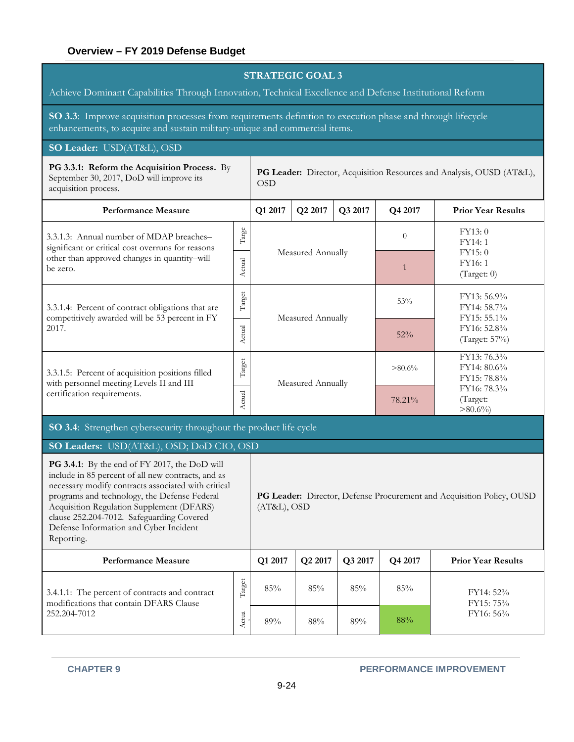| <b>STRATEGIC GOAL 3</b><br>Achieve Dominant Capabilities Through Innovation, Technical Excellence and Defense Institutional Reform                                                                                                                                                                                                                                   |               |                                                                                      |                   |         |                |                                                                       |  |  |  |
|----------------------------------------------------------------------------------------------------------------------------------------------------------------------------------------------------------------------------------------------------------------------------------------------------------------------------------------------------------------------|---------------|--------------------------------------------------------------------------------------|-------------------|---------|----------------|-----------------------------------------------------------------------|--|--|--|
| SO 3.3: Improve acquisition processes from requirements definition to execution phase and through lifecycle<br>enhancements, to acquire and sustain military-unique and commercial items.                                                                                                                                                                            |               |                                                                                      |                   |         |                |                                                                       |  |  |  |
| SO Leader: USD(AT&L), OSD                                                                                                                                                                                                                                                                                                                                            |               |                                                                                      |                   |         |                |                                                                       |  |  |  |
| PG 3.3.1: Reform the Acquisition Process. By<br>September 30, 2017, DoD will improve its<br>acquisition process.                                                                                                                                                                                                                                                     |               | <b>OSD</b>                                                                           |                   |         |                | PG Leader: Director, Acquisition Resources and Analysis, OUSD (AT&L), |  |  |  |
| <b>Performance Measure</b>                                                                                                                                                                                                                                                                                                                                           |               | Q1 2017                                                                              | Q2 2017           | Q3 2017 | Q4 2017        | <b>Prior Year Results</b>                                             |  |  |  |
| 3.3.1.3: Annual number of MDAP breaches-<br>significant or critical cost overruns for reasons                                                                                                                                                                                                                                                                        | $\rm{Target}$ |                                                                                      |                   |         | $\overline{0}$ | FY13:0<br>FY14: 1                                                     |  |  |  |
| other than approved changes in quantity-will<br>be zero.                                                                                                                                                                                                                                                                                                             | Actual        |                                                                                      | Measured Annually |         | $\mathbf{1}$   | FY15:0<br>FY16:1<br>(Target: 0)                                       |  |  |  |
| 3.3.1.4: Percent of contract obligations that are<br>competitively awarded will be 53 percent in FY                                                                                                                                                                                                                                                                  | Target        |                                                                                      | Measured Annually |         | 53%            | FY13: 56.9%<br>FY14: 58.7%<br>FY15: 55.1%                             |  |  |  |
| 2017.                                                                                                                                                                                                                                                                                                                                                                | Actual        |                                                                                      |                   |         | 52%            | FY16: 52.8%<br>(Target: 57%)                                          |  |  |  |
| Target<br>3.3.1.5: Percent of acquisition positions filled<br>with personnel meeting Levels II and III                                                                                                                                                                                                                                                               |               |                                                                                      | Measured Annually |         | $>80.6\%$      | FY13: 76.3%<br>FY14: 80.6%<br>FY15: 78.8%                             |  |  |  |
| certification requirements.                                                                                                                                                                                                                                                                                                                                          | Actual        |                                                                                      |                   |         | 78.21%         | FY16: 78.3%<br>(Target:<br>$>80.6\%$                                  |  |  |  |
| SO 3.4: Strengthen cybersecurity throughout the product life cycle                                                                                                                                                                                                                                                                                                   |               |                                                                                      |                   |         |                |                                                                       |  |  |  |
| SO Leaders: USD(AT&L), OSD; DoD CIO, OSD                                                                                                                                                                                                                                                                                                                             |               |                                                                                      |                   |         |                |                                                                       |  |  |  |
| <b>PG 3.4.1</b> : By the end of FY 2017, the DoD will<br>include in 85 percent of all new contracts, and as<br>necessary modify contracts associated with critical<br>programs and technology, the Defense Federal<br>Acquisition Regulation Supplement (DFARS)<br>clause 252.204-7012. Safeguarding Covered<br>Defense Information and Cyber Incident<br>Reporting. |               | PG Leader: Director, Defense Procurement and Acquisition Policy, OUSD<br>(AT&L), OSD |                   |         |                |                                                                       |  |  |  |
| <b>Performance Measure</b>                                                                                                                                                                                                                                                                                                                                           |               | Q1 2017                                                                              | Q2 2017           | Q3 2017 | Q4 2017        | <b>Prior Year Results</b>                                             |  |  |  |
| 3.4.1.1: The percent of contracts and contract<br>modifications that contain DFARS Clause                                                                                                                                                                                                                                                                            | Target        | 85%                                                                                  | 85%               | 85%     | 85%            | FY14: 52%<br>FY15: 75%                                                |  |  |  |
| 252.204-7012                                                                                                                                                                                                                                                                                                                                                         | Actua         | 89%                                                                                  | $88\%$            | 89%     | 88%            | FY16: 56%                                                             |  |  |  |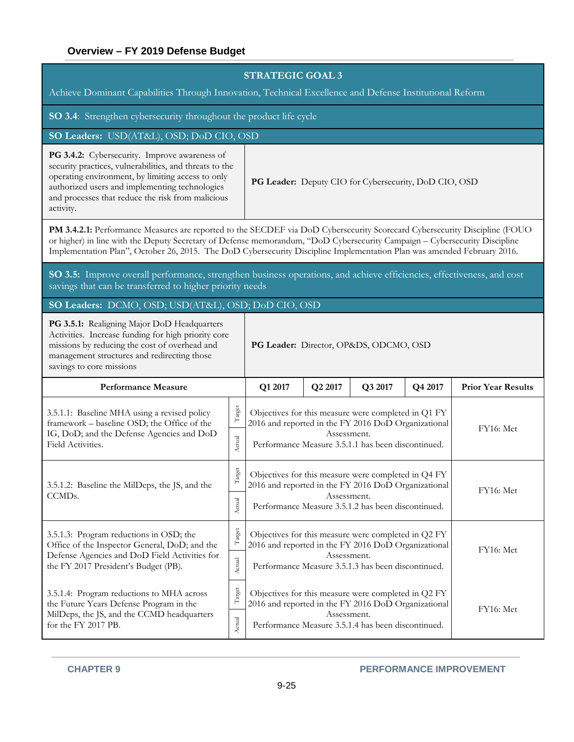| <b>STRATEGIC GOAL 3</b><br>Achieve Dominant Capabilities Through Innovation, Technical Excellence and Defense Institutional Reform                                                                                                                                                                                                                                                  |                  |                                                                                                                                        |                           |                                                    |  |           |  |  |  |
|-------------------------------------------------------------------------------------------------------------------------------------------------------------------------------------------------------------------------------------------------------------------------------------------------------------------------------------------------------------------------------------|------------------|----------------------------------------------------------------------------------------------------------------------------------------|---------------------------|----------------------------------------------------|--|-----------|--|--|--|
| <b>SO 3.4:</b> Strengthen cybersecurity throughout the product life cycle                                                                                                                                                                                                                                                                                                           |                  |                                                                                                                                        |                           |                                                    |  |           |  |  |  |
| SO Leaders: USD(AT&L), OSD; DoD CIO, OSD                                                                                                                                                                                                                                                                                                                                            |                  |                                                                                                                                        |                           |                                                    |  |           |  |  |  |
| PG 3.4.2: Cybersecurity. Improve awareness of<br>security practices, vulnerabilities, and threats to the<br>operating environment, by limiting access to only<br>authorized users and implementing technologies<br>and processes that reduce the risk from malicious<br>activity.                                                                                                   |                  | PG Leader: Deputy CIO for Cybersecurity, DoD CIO, OSD                                                                                  |                           |                                                    |  |           |  |  |  |
| PM 3.4.2.1: Performance Measures are reported to the SECDEF via DoD Cybersecurity Scorecard Cybersecurity Discipline (FOUO<br>or higher) in line with the Deputy Secretary of Defense memorandum, "DoD Cybersecurity Campaign - Cybersecurity Discipline<br>Implementation Plan", October 26, 2015. The DoD Cybersecurity Discipline Implementation Plan was amended February 2016. |                  |                                                                                                                                        |                           |                                                    |  |           |  |  |  |
| SO 3.5: Improve overall performance, strengthen business operations, and achieve efficiencies, effectiveness, and cost<br>savings that can be transferred to higher priority needs                                                                                                                                                                                                  |                  |                                                                                                                                        |                           |                                                    |  |           |  |  |  |
| SO Leaders: DCMO, OSD; USD(AT&L), OSD; DoD CIO, OSD                                                                                                                                                                                                                                                                                                                                 |                  |                                                                                                                                        |                           |                                                    |  |           |  |  |  |
| PG 3.5.1: Realigning Major DoD Headquarters<br>Activities. Increase funding for high priority core<br>missions by reducing the cost of overhead and<br>PG Leader: Director, OP&DS, ODCMO, OSD<br>management structures and redirecting those<br>savings to core missions                                                                                                            |                  |                                                                                                                                        |                           |                                                    |  |           |  |  |  |
| <b>Performance Measure</b>                                                                                                                                                                                                                                                                                                                                                          |                  | Q1 2017                                                                                                                                | <b>Prior Year Results</b> |                                                    |  |           |  |  |  |
| 3.5.1.1: Baseline MHA using a revised policy<br>framework - baseline OSD; the Office of the<br>IG, DoD; and the Defense Agencies and DoD<br>Field Activities.                                                                                                                                                                                                                       | Target<br>Actual | Objectives for this measure were completed in Q1 FY<br>2016 and reported in the FY 2016 DoD Organizational                             | Assessment.               | Performance Measure 3.5.1.1 has been discontinued. |  | FY16: Met |  |  |  |
| 3.5.1.2: Baseline the MilDeps, the JS, and the<br>CCMD <sub>s</sub> .                                                                                                                                                                                                                                                                                                               | Target           | Objectives for this measure were completed in Q4 FY<br>2016 and reported in the FY 2016 DoD Organizational                             | Assessment.               |                                                    |  | FY16: Met |  |  |  |
|                                                                                                                                                                                                                                                                                                                                                                                     | Actual           |                                                                                                                                        |                           | Performance Measure 3.5.1.2 has been discontinued. |  |           |  |  |  |
| 3.5.1.3: Program reductions in OSD; the<br>Office of the Inspector General, DoD; and the<br>Defense Agencies and DoD Field Activities for                                                                                                                                                                                                                                           | Target           | Objectives for this measure were completed in Q2 FY<br>2016 and reported in the FY 2016 DoD Organizational<br>FY16: Met<br>Assessment. |                           |                                                    |  |           |  |  |  |
| the FY 2017 President's Budget (PB).                                                                                                                                                                                                                                                                                                                                                | Actual           |                                                                                                                                        |                           | Performance Measure 3.5.1.3 has been discontinued. |  |           |  |  |  |
| 3.5.1.4: Program reductions to MHA across<br>the Future Years Defense Program in the                                                                                                                                                                                                                                                                                                | Target           | Objectives for this measure were completed in Q2 FY<br>2016 and reported in the FY 2016 DoD Organizational                             |                           |                                                    |  | FY16: Met |  |  |  |
| MilDeps, the JS, and the CCMD headquarters<br>for the FY 2017 PB.                                                                                                                                                                                                                                                                                                                   | Actual           |                                                                                                                                        | Assessment.               | Performance Measure 3.5.1.4 has been discontinued. |  |           |  |  |  |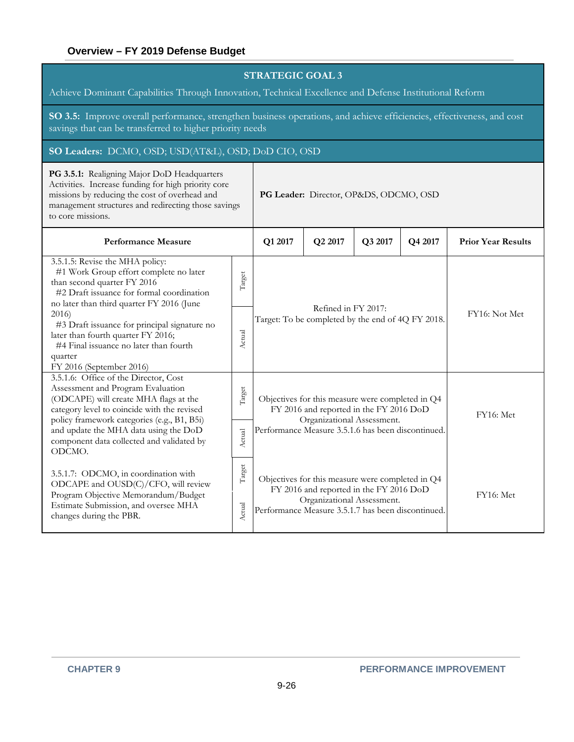Achieve Dominant Capabilities Through Innovation, Technical Excellence and Defense Institutional Reform

**SO 3.5:** Improve overall performance, strengthen business operations, and achieve efficiencies, effectiveness, and cost savings that can be transferred to higher priority needs

#### **SO Leaders:** DCMO, OSD; USD(AT&L), OSD; DoD CIO, OSD

**PG 3.5.1:** Realigning Major DoD Headquarters Activities. Increase funding for high priority core missions by reducing the cost of overhead and management structures and redirecting those savings to core missions. **PG Leader:** Director, OP&DS, ODCMO, OSD **Performance Measure Q1 2017 Q2 2017 Q3 2017 Q4 2017 Prior Year Results** 3.5.1.5: Revise the MHA policy: #1 Work Group effort complete no later than second quarter FY 2016 #2 Draft issuance for formal coordination no later than third quarter FY 2016 (June 2016) #3 Draft issuance for principal signature no later than fourth quarter FY 2016; #4 Final issuance no later than fourth quarter FY 2016 (September 2016) Target Refined in FY 2017: Target: To be completed by the end of  $4Q$  FY 2018. FY16: Not Met Actual 3.5.1.6: Office of the Director, Cost Assessment and Program Evaluation (ODCAPE) will create MHA flags at the category level to coincide with the revised policy framework categories (e.g., B1, B5i) and update the MHA data using the DoD component data collected and validated by ODCMO. Target Objectives for this measure were completed in Q4 FY 2016 and reported in the FY 2016 DoD Organizational Assessment. Performance Measure 3.5.1.6 has been discontinued. FY16: Met Actual 3.5.1.7: ODCMO, in coordination with ODCAPE and OUSD(C)/CFO, will review Program Objective Memorandum/Budget Estimate Submission, and oversee MHA changes during the PBR. Target Objectives for this measure were completed in Q4 FY 2016 and reported in the FY 2016 DoD Organizational Assessment. Performance Measure 3.5.1.7 has been discontinued. FY16: Met **Actual**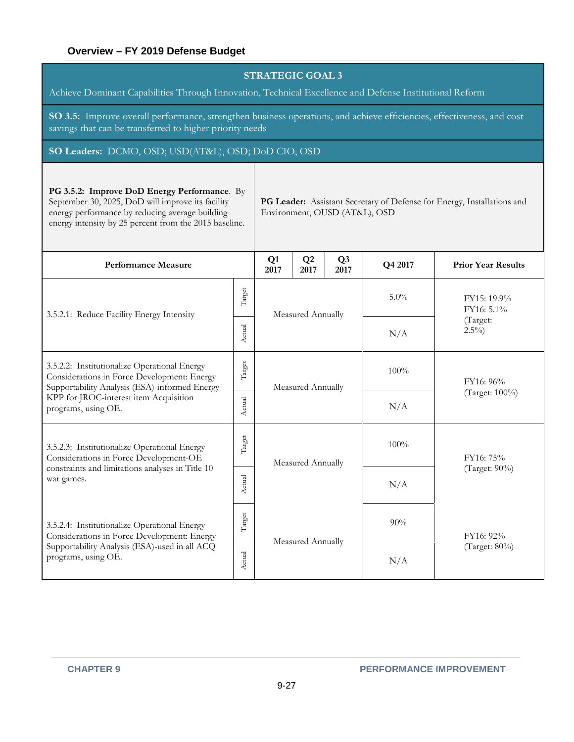| <b>STRATEGIC GOAL 3</b><br>Achieve Dominant Capabilities Through Innovation, Technical Excellence and Defense Institutional Reform                                                                                                                                                                                         |                                               |            |                        |         |                           |                           |  |  |  |
|----------------------------------------------------------------------------------------------------------------------------------------------------------------------------------------------------------------------------------------------------------------------------------------------------------------------------|-----------------------------------------------|------------|------------------------|---------|---------------------------|---------------------------|--|--|--|
| SO 3.5: Improve overall performance, strengthen business operations, and achieve efficiencies, effectiveness, and cost<br>savings that can be transferred to higher priority needs                                                                                                                                         |                                               |            |                        |         |                           |                           |  |  |  |
| SO Leaders: DCMO, OSD; USD(AT&L), OSD; DoD CIO, OSD                                                                                                                                                                                                                                                                        |                                               |            |                        |         |                           |                           |  |  |  |
| PG 3.5.2: Improve DoD Energy Performance. By<br>September 30, 2025, DoD will improve its facility<br>PG Leader: Assistant Secretary of Defense for Energy, Installations and<br>energy performance by reducing average building<br>Environment, OUSD (AT&L), OSD<br>energy intensity by 25 percent from the 2015 baseline. |                                               |            |                        |         |                           |                           |  |  |  |
| <b>Performance Measure</b>                                                                                                                                                                                                                                                                                                 | Q1<br>2017                                    | Q2<br>2017 | Q <sub>3</sub><br>2017 | Q4 2017 | <b>Prior Year Results</b> |                           |  |  |  |
| 3.5.2.1: Reduce Facility Energy Intensity                                                                                                                                                                                                                                                                                  |                                               |            | Measured Annually      |         | 5.0%                      | FY15: 19.9%<br>FY16: 5.1% |  |  |  |
|                                                                                                                                                                                                                                                                                                                            | Actual                                        |            |                        |         | N/A                       | (Target:<br>$2.5\%$       |  |  |  |
| 3.5.2.2: Institutionalize Operational Energy<br>Considerations in Force Development: Energy<br>Supportability Analysis (ESA)-informed Energy                                                                                                                                                                               | Target                                        |            | Measured Annually      |         | 100%                      | FY16: 96%                 |  |  |  |
| KPP for JROC-interest item Acquisition<br>programs, using OE.                                                                                                                                                                                                                                                              | Actual                                        |            |                        |         | N/A                       | (Target: 100%)            |  |  |  |
| 3.5.2.3: Institutionalize Operational Energy<br>Considerations in Force Development-OE                                                                                                                                                                                                                                     | Target                                        |            | Measured Annually      |         | 100%                      | FY16: 75%                 |  |  |  |
| constraints and limitations analyses in Title 10<br>war games.                                                                                                                                                                                                                                                             | tual<br>Χc                                    |            |                        |         | N/A                       | (Target: 90%)             |  |  |  |
| 3.5.2.4: Institutionalize Operational Energy<br>Considerations in Force Development: Energy                                                                                                                                                                                                                                | Target                                        |            |                        |         | 90%                       | FY16: 92%                 |  |  |  |
| Supportability Analysis (ESA)-used in all ACQ<br>programs, using OE.                                                                                                                                                                                                                                                       | $\Lambda{\rm c} {\rm t}{\rm u}{\rm a}{\rm l}$ |            | Measured Annually      |         | N/A                       | (Target: 80%)             |  |  |  |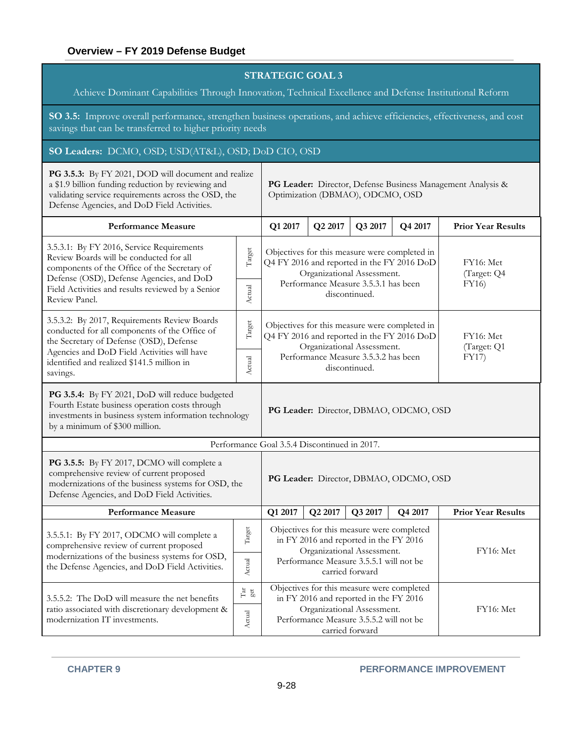Achieve Dominant Capabilities Through Innovation, Technical Excellence and Defense Institutional Reform

**SO 3.5:** Improve overall performance, strengthen business operations, and achieve efficiencies, effectiveness, and cost savings that can be transferred to higher priority needs

#### **SO Leaders:** DCMO, OSD; USD(AT&L), OSD; DoD CIO, OSD

| PG 3.5.3: By FY 2021, DOD will document and realize<br>a \$1.9 billion funding reduction by reviewing and<br>validating service requirements across the OSD, the<br>Defense Agencies, and DoD Field Activities.                       |                                                              | PG Leader: Director, Defense Business Management Analysis &<br>Optimization (DBMAO), ODCMO, OSD                                                                                               |                                                                                                                                      |                                                                                                                                                               |         |                           |  |  |
|---------------------------------------------------------------------------------------------------------------------------------------------------------------------------------------------------------------------------------------|--------------------------------------------------------------|-----------------------------------------------------------------------------------------------------------------------------------------------------------------------------------------------|--------------------------------------------------------------------------------------------------------------------------------------|---------------------------------------------------------------------------------------------------------------------------------------------------------------|---------|---------------------------|--|--|
| <b>Performance Measure</b>                                                                                                                                                                                                            |                                                              | Q1 2017                                                                                                                                                                                       | Q2 2017                                                                                                                              | Q3 2017                                                                                                                                                       | Q4 2017 | <b>Prior Year Results</b> |  |  |
| 3.5.3.1: By FY 2016, Service Requirements<br>Review Boards will be conducted for all<br>components of the Office of the Secretary of<br>Defense (OSD), Defense Agencies, and DoD<br>Field Activities and results reviewed by a Senior | Target<br>Actual                                             | Q4 FY 2016 and reported in the FY 2016 DoD                                                                                                                                                    | Objectives for this measure were completed in<br>Organizational Assessment.<br>Performance Measure 3.5.3.1 has been<br>discontinued. | FY16: Met<br>(Target: Q4<br>FY16)                                                                                                                             |         |                           |  |  |
| Review Panel.                                                                                                                                                                                                                         |                                                              |                                                                                                                                                                                               |                                                                                                                                      |                                                                                                                                                               |         |                           |  |  |
| 3.5.3.2: By 2017, Requirements Review Boards<br>conducted for all components of the Office of<br>the Secretary of Defense (OSD), Defense                                                                                              | Target                                                       | Q4 FY 2016 and reported in the FY 2016 DoD                                                                                                                                                    | Objectives for this measure were completed in<br>Organizational Assessment.                                                          | FY16: Met<br>(Target: Q1                                                                                                                                      |         |                           |  |  |
| Agencies and DoD Field Activities will have<br>identified and realized \$141.5 million in<br>savings.                                                                                                                                 | Actual                                                       |                                                                                                                                                                                               | Performance Measure 3.5.3.2 has been<br>discontinued.                                                                                | FY17)                                                                                                                                                         |         |                           |  |  |
| PG 3.5.4: By FY 2021, DoD will reduce budgeted<br>Fourth Estate business operation costs through<br>investments in business system information technology<br>by a minimum of \$300 million.                                           | PG Leader: Director, DBMAO, ODCMO, OSD                       |                                                                                                                                                                                               |                                                                                                                                      |                                                                                                                                                               |         |                           |  |  |
|                                                                                                                                                                                                                                       |                                                              | Performance Goal 3.5.4 Discontinued in 2017.                                                                                                                                                  |                                                                                                                                      |                                                                                                                                                               |         |                           |  |  |
| PG 3.5.5: By FY 2017, DCMO will complete a<br>comprehensive review of current proposed<br>modernizations of the business systems for OSD, the<br>Defense Agencies, and DoD Field Activities.                                          |                                                              | PG Leader: Director, DBMAO, ODCMO, OSD                                                                                                                                                        |                                                                                                                                      |                                                                                                                                                               |         |                           |  |  |
| <b>Performance Measure</b>                                                                                                                                                                                                            |                                                              | Q1 2017                                                                                                                                                                                       | Q2 2017                                                                                                                              | Q3 2017                                                                                                                                                       | Q4 2017 | <b>Prior Year Results</b> |  |  |
| 3.5.5.1: By FY 2017, ODCMO will complete a<br>comprehensive review of current proposed<br>modernizations of the business systems for OSD,                                                                                             | Target                                                       |                                                                                                                                                                                               |                                                                                                                                      | Objectives for this measure were completed<br>in FY 2016 and reported in the FY 2016<br>Organizational Assessment.<br>Performance Measure 3.5.5.1 will not be |         | FY16: Met                 |  |  |
| the Defense Agencies, and DoD Field Activities.                                                                                                                                                                                       | Actual                                                       |                                                                                                                                                                                               |                                                                                                                                      | carried forward                                                                                                                                               |         |                           |  |  |
| 3.5.5.2: The DoD will measure the net benefits<br>ratio associated with discretionary development &<br>modernization IT investments.                                                                                                  | $\mathop{\rm Tr}\limits_{\mathop{\rm gct}\limits}$<br>Actual | Objectives for this measure were completed<br>in FY 2016 and reported in the FY 2016<br>Organizational Assessment.<br>FY16: Met<br>Performance Measure 3.5.5.2 will not be<br>carried forward |                                                                                                                                      |                                                                                                                                                               |         |                           |  |  |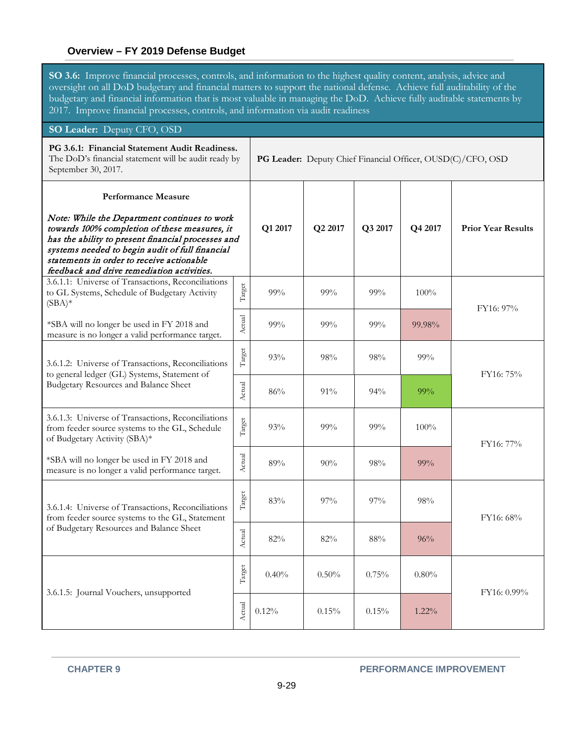**SO 3.6:** Improve financial processes, controls, and information to the highest quality content, analysis, advice and oversight on all DoD budgetary and financial matters to support the national defense. Achieve full auditability of the budgetary and financial information that is most valuable in managing the DoD. Achieve fully auditable statements by 2017. Improve financial processes, controls, and information via audit readiness

# **SO Leader:** Deputy CFO, OSD

| PG 3.6.1: Financial Statement Audit Readiness.<br>The DoD's financial statement will be audit ready by<br>September 30, 2017.                                                                                                                                                                                                   |        | PG Leader: Deputy Chief Financial Officer, OUSD(C)/CFO, OSD |         |         |          |                           |  |
|---------------------------------------------------------------------------------------------------------------------------------------------------------------------------------------------------------------------------------------------------------------------------------------------------------------------------------|--------|-------------------------------------------------------------|---------|---------|----------|---------------------------|--|
| <b>Performance Measure</b><br>Note: While the Department continues to work<br>towards 100% completion of these measures, it<br>has the ability to present financial processes and<br>systems needed to begin audit of full financial<br>statements in order to receive actionable<br>feedback and drive remediation activities. |        | Q1 2017                                                     | Q2 2017 | Q3 2017 | Q4 2017  | <b>Prior Year Results</b> |  |
| 3.6.1.1: Universe of Transactions, Reconciliations<br>to GL Systems, Schedule of Budgetary Activity<br>$(SBA)*$                                                                                                                                                                                                                 | Target | 99%                                                         | 99%     | $99\%$  | $100\%$  | FY16: 97%                 |  |
| *SBA will no longer be used in FY 2018 and<br>measure is no longer a valid performance target.                                                                                                                                                                                                                                  | Actual | 99%                                                         | 99%     | 99%     | 99.98%   |                           |  |
| 3.6.1.2: Universe of Transactions, Reconciliations<br>to general ledger (GL) Systems, Statement of<br>Budgetary Resources and Balance Sheet                                                                                                                                                                                     | Target | 93%                                                         | 98%     | 98%     | 99%      | FY16: 75%                 |  |
|                                                                                                                                                                                                                                                                                                                                 | Actual | 86%                                                         | 91%     | 94%     | 99%      |                           |  |
| 3.6.1.3: Universe of Transactions, Reconciliations<br>from feeder source systems to the GL, Schedule<br>of Budgetary Activity (SBA)*                                                                                                                                                                                            | Target | 93%                                                         | 99%     | 99%     | 100%     | FY16: 77%                 |  |
| *SBA will no longer be used in FY 2018 and<br>measure is no longer a valid performance target.                                                                                                                                                                                                                                  | Actual | 89%                                                         | 90%     | 98%     | 99%      |                           |  |
| 3.6.1.4: Universe of Transactions, Reconciliations<br>from feeder source systems to the GL, Statement                                                                                                                                                                                                                           | Target | 83%                                                         | 97%     | 97%     | 98%      | FY16: 68%                 |  |
| of Budgetary Resources and Balance Sheet                                                                                                                                                                                                                                                                                        | Actual | 82%                                                         | 82%     | 88%     | 96%      |                           |  |
| 3.6.1.5: Journal Vouchers, unsupported                                                                                                                                                                                                                                                                                          | Target | 0.40%                                                       | 0.50%   | 0.75%   | $0.80\%$ | FY16: 0.99%               |  |
|                                                                                                                                                                                                                                                                                                                                 | Actual | 0.12%                                                       | 0.15%   | 0.15%   | $1.22\%$ |                           |  |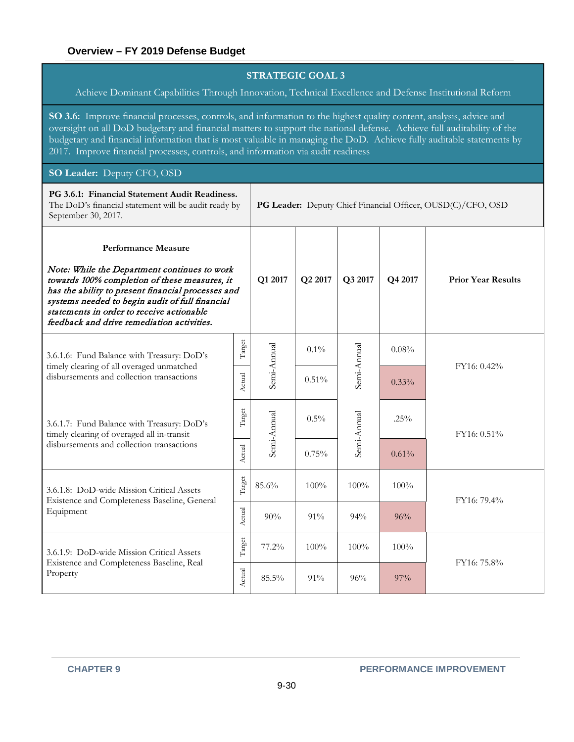Achieve Dominant Capabilities Through Innovation, Technical Excellence and Defense Institutional Reform

**SO 3.6:** Improve financial processes, controls, and information to the highest quality content, analysis, advice and oversight on all DoD budgetary and financial matters to support the national defense. Achieve full auditability of the budgetary and financial information that is most valuable in managing the DoD. Achieve fully auditable statements by 2017. Improve financial processes, controls, and information via audit readiness

#### **SO Leader:** Deputy CFO, OSD

| PG 3.6.1: Financial Statement Audit Readiness.<br>The DoD's financial statement will be audit ready by<br>September 30, 2017.                                                                                                                                                                                                   |        | PG Leader: Deputy Chief Financial Officer, OUSD(C)/CFO, OSD |         |             |         |                           |  |  |
|---------------------------------------------------------------------------------------------------------------------------------------------------------------------------------------------------------------------------------------------------------------------------------------------------------------------------------|--------|-------------------------------------------------------------|---------|-------------|---------|---------------------------|--|--|
| <b>Performance Measure</b><br>Note: While the Department continues to work<br>towards 100% completion of these measures, it<br>has the ability to present financial processes and<br>systems needed to begin audit of full financial<br>statements in order to receive actionable<br>feedback and drive remediation activities. |        | Q1 2017                                                     | Q2 2017 | Q3 2017     | Q4 2017 | <b>Prior Year Results</b> |  |  |
| 3.6.1.6: Fund Balance with Treasury: DoD's<br>timely clearing of all overaged unmatched<br>disbursements and collection transactions                                                                                                                                                                                            | Target |                                                             | $0.1\%$ |             | 0.08%   |                           |  |  |
|                                                                                                                                                                                                                                                                                                                                 | Actual | Semi-Annual                                                 | 0.51%   | Semi-Annual | 0.33%   | FY16: 0.42%               |  |  |
| 3.6.1.7: Fund Balance with Treasury: DoD's<br>timely clearing of overaged all in-transit                                                                                                                                                                                                                                        | Target | Semi-Annual                                                 | 0.5%    | Semi-Annual | $.25\%$ | FY16: 0.51%               |  |  |
| disbursements and collection transactions                                                                                                                                                                                                                                                                                       | Actual |                                                             | 0.75%   |             | 0.61%   |                           |  |  |
| 3.6.1.8: DoD-wide Mission Critical Assets<br>Existence and Completeness Baseline, General                                                                                                                                                                                                                                       | Target | 85.6%                                                       | 100%    | 100%        | 100%    | FY16: 79.4%               |  |  |
| Equipment                                                                                                                                                                                                                                                                                                                       | Actual | 90%                                                         | $91\%$  | 94%         | 96%     |                           |  |  |
| 3.6.1.9: DoD-wide Mission Critical Assets                                                                                                                                                                                                                                                                                       | Target | 77.2%                                                       | 100%    | 100%        | 100%    |                           |  |  |
| Existence and Completeness Baseline, Real<br>Property                                                                                                                                                                                                                                                                           | Actual | 85.5%                                                       | $91\%$  | 96%         | $97\%$  | FY16: 75.8%               |  |  |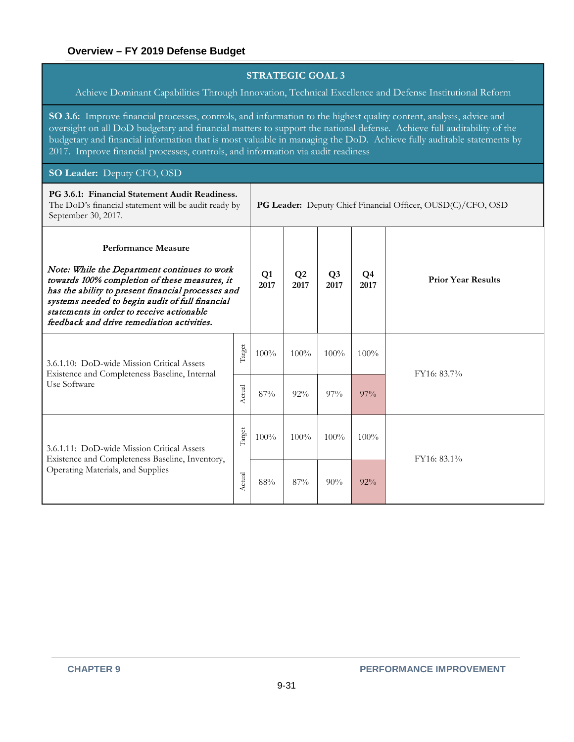Achieve Dominant Capabilities Through Innovation, Technical Excellence and Defense Institutional Reform

**SO 3.6:** Improve financial processes, controls, and information to the highest quality content, analysis, advice and oversight on all DoD budgetary and financial matters to support the national defense. Achieve full auditability of the budgetary and financial information that is most valuable in managing the DoD. Achieve fully auditable statements by 2017. Improve financial processes, controls, and information via audit readiness

#### **SO Leader:** Deputy CFO, OSD

| PG 3.6.1: Financial Statement Audit Readiness.<br>The DoD's financial statement will be audit ready by<br>September 30, 2017.                                                                                                                                                                                                   |        |      | PG Leader: Deputy Chief Financial Officer, OUSD(C)/CFO, OSD |                        |            |                           |  |  |
|---------------------------------------------------------------------------------------------------------------------------------------------------------------------------------------------------------------------------------------------------------------------------------------------------------------------------------|--------|------|-------------------------------------------------------------|------------------------|------------|---------------------------|--|--|
| <b>Performance Measure</b><br>Note: While the Department continues to work<br>towards 100% completion of these measures, it<br>has the ability to present financial processes and<br>systems needed to begin audit of full financial<br>statements in order to receive actionable<br>feedback and drive remediation activities. |        |      | $\mathbf{O}2$<br>2017                                       | Q <sub>3</sub><br>2017 | Q4<br>2017 | <b>Prior Year Results</b> |  |  |
| 3.6.1.10: DoD-wide Mission Critical Assets<br>Existence and Completeness Baseline, Internal<br>Use Software                                                                                                                                                                                                                     | Target | 100% | 100%                                                        | $100\%$                | $100\%$    |                           |  |  |
|                                                                                                                                                                                                                                                                                                                                 | Actual | 87%  | 92%                                                         | $97\%$                 | $97\%$     | FY16: 83.7%               |  |  |
| 3.6.1.11: DoD-wide Mission Critical Assets<br>Existence and Completeness Baseline, Inventory,<br>Operating Materials, and Supplies                                                                                                                                                                                              | Target | 100% | 100%                                                        | 100%                   | $100\%$    | FY16: 83.1%               |  |  |
|                                                                                                                                                                                                                                                                                                                                 | Actual | 88%  | 87%                                                         | 90%                    | $92\%$     |                           |  |  |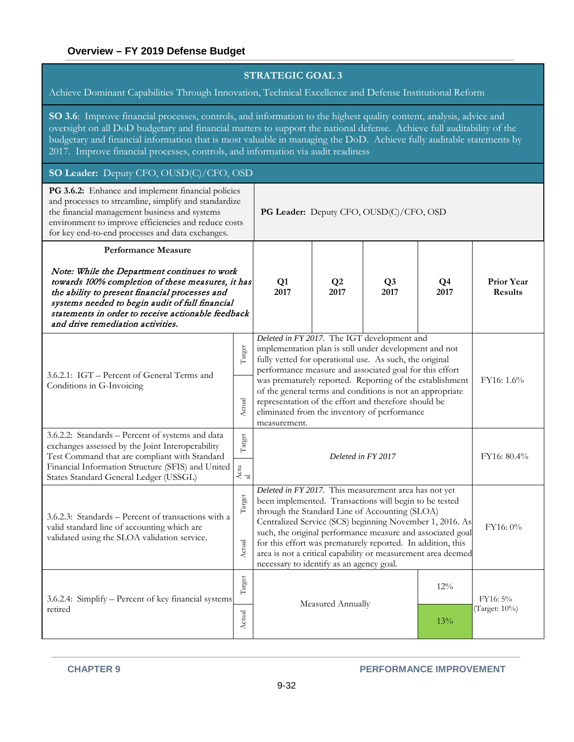Achieve Dominant Capabilities Through Innovation, Technical Excellence and Defense Institutional Reform

**SO 3.6**: Improve financial processes, controls, and information to the highest quality content, analysis, advice and oversight on all DoD budgetary and financial matters to support the national defense. Achieve full auditability of the budgetary and financial information that is most valuable in managing the DoD. Achieve fully auditable statements by 2017. Improve financial processes, controls, and information via audit readiness

# **SO Leader:** Deputy CFO, OUSD(C)/CFO, OSD

| PG 3.6.2: Enhance and implement financial policies<br>and processes to streamline, simplify and standardize<br>the financial management business and systems<br>environment to improve efficiencies and reduce costs<br>for key end-to-end processes and data exchanges.                                                        |                            | PG Leader: Deputy CFO, OUSD(C)/CFO, OSD                                                                                                                                                                                                                                                                                                                                                                                                                                      |                          |  |            |                                     |  |  |
|---------------------------------------------------------------------------------------------------------------------------------------------------------------------------------------------------------------------------------------------------------------------------------------------------------------------------------|----------------------------|------------------------------------------------------------------------------------------------------------------------------------------------------------------------------------------------------------------------------------------------------------------------------------------------------------------------------------------------------------------------------------------------------------------------------------------------------------------------------|--------------------------|--|------------|-------------------------------------|--|--|
| <b>Performance Measure</b><br>Note: While the Department continues to work<br>towards 100% completion of these measures, it has<br>the ability to present financial processes and<br>systems needed to begin audit of full financial<br>statements in order to receive actionable feedback<br>and drive remediation activities. |                            | Q1<br>2017                                                                                                                                                                                                                                                                                                                                                                                                                                                                   | Q2<br>Q3<br>2017<br>2017 |  | Q4<br>2017 | <b>Prior Year</b><br><b>Results</b> |  |  |
| 3.6.2.1: IGT - Percent of General Terms and<br>Conditions in G-Invoicing                                                                                                                                                                                                                                                        | Target<br>Actual           | Deleted in FY 2017. The IGT development and<br>implementation plan is still under development and not<br>fully vetted for operational use. As such, the original<br>performance measure and associated goal for this effort<br>was prematurely reported. Reporting of the establishment<br>of the general terms and conditions is not an appropriate<br>representation of the effort and therefore should be<br>eliminated from the inventory of performance<br>measurement. | FY16: 1.6%               |  |            |                                     |  |  |
| 3.6.2.2: Standards - Percent of systems and data<br>exchanges assessed by the Joint Interoperability<br>Test Command that are compliant with Standard<br>Financial Information Structure (SFIS) and United<br>States Standard General Ledger (USSGL)                                                                            | Target<br>Actu $_{\rm al}$ | Deleted in FY 2017                                                                                                                                                                                                                                                                                                                                                                                                                                                           |                          |  |            | FY16: 80.4%                         |  |  |
| 3.6.2.3: Standards - Percent of transactions with a<br>valid standard line of accounting which are<br>validated using the SLOA validation service.                                                                                                                                                                              | Target<br>Actual           | Deleted in FY 2017. This measurement area has not yet<br>been implemented. Transactions will begin to be tested<br>through the Standard Line of Accounting (SLOA)<br>Centralized Service (SCS) beginning November 1, 2016. As<br>such, the original performance measure and associated goal<br>for this effort was prematurely reported. In addition, this<br>area is not a critical capability or measurement area deemed<br>necessary to identify as an agency goal.       | FY16: 0%                 |  |            |                                     |  |  |
| 3.6.2.4: Simplify – Percent of key financial systems<br>retired                                                                                                                                                                                                                                                                 | Target<br>Actual           | 12%<br>Measured Annually<br>13%                                                                                                                                                                                                                                                                                                                                                                                                                                              |                          |  |            | FY16: 5%<br>(Target: 10%)           |  |  |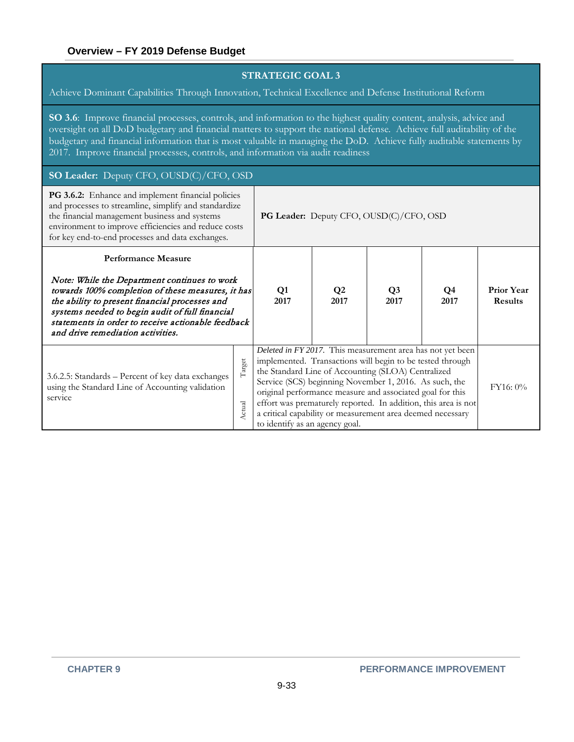Achieve Dominant Capabilities Through Innovation, Technical Excellence and Defense Institutional Reform

**SO 3.6**: Improve financial processes, controls, and information to the highest quality content, analysis, advice and oversight on all DoD budgetary and financial matters to support the national defense. Achieve full auditability of the budgetary and financial information that is most valuable in managing the DoD. Achieve fully auditable statements by 2017. Improve financial processes, controls, and information via audit readiness

#### **SO Leader:** Deputy CFO, OUSD(C)/CFO, OSD

| PG 3.6.2: Enhance and implement financial policies<br>and processes to streamline, simplify and standardize<br>the financial management business and systems<br>environment to improve efficiencies and reduce costs<br>for key end-to-end processes and data exchanges.                                                        |                  | PG Leader: Deputy CFO, OUSD(C)/CFO, OSD                                                                                                                                                                                                                                                                                                                                                                                                                                |                       |                        |            |                                     |  |  |
|---------------------------------------------------------------------------------------------------------------------------------------------------------------------------------------------------------------------------------------------------------------------------------------------------------------------------------|------------------|------------------------------------------------------------------------------------------------------------------------------------------------------------------------------------------------------------------------------------------------------------------------------------------------------------------------------------------------------------------------------------------------------------------------------------------------------------------------|-----------------------|------------------------|------------|-------------------------------------|--|--|
| <b>Performance Measure</b><br>Note: While the Department continues to work<br>towards 100% completion of these measures, it has<br>the ability to present financial processes and<br>systems needed to begin audit of full financial<br>statements in order to receive actionable feedback<br>and drive remediation activities. |                  | $\mathbf{Q}$ 1<br>2017                                                                                                                                                                                                                                                                                                                                                                                                                                                 | $\mathbf{Q}2$<br>2017 | Q <sub>3</sub><br>2017 | Q4<br>2017 | <b>Prior Year</b><br><b>Results</b> |  |  |
| 3.6.2.5: Standards – Percent of key data exchanges<br>using the Standard Line of Accounting validation<br>service                                                                                                                                                                                                               | Target<br>Actual | Deleted in FY 2017. This measurement area has not yet been<br>implemented. Transactions will begin to be tested through<br>the Standard Line of Accounting (SLOA) Centralized<br>Service (SCS) beginning November 1, 2016. As such, the<br>original performance measure and associated goal for this<br>effort was prematurely reported. In addition, this area is not<br>a critical capability or measurement area deemed necessary<br>to identify as an agency goal. | FY16:0%               |                        |            |                                     |  |  |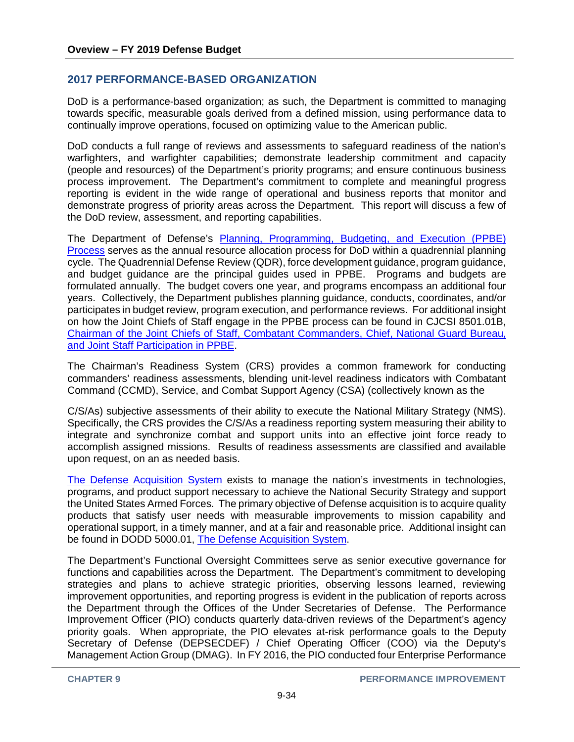# **2017 PERFORMANCE-BASED ORGANIZATION**

DoD is a performance-based organization; as such, the Department is committed to managing towards specific, measurable goals derived from a defined mission, using performance data to continually improve operations, focused on optimizing value to the American public.

DoD conducts a full range of reviews and assessments to safeguard readiness of the nation's warfighters, and warfighter capabilities; demonstrate leadership commitment and capacity (people and resources) of the Department's priority programs; and ensure continuous business process improvement. The Department's commitment to complete and meaningful progress reporting is evident in the wide range of operational and business reports that monitor and demonstrate progress of priority areas across the Department. This report will discuss a few of the DoD review, assessment, and reporting capabilities.

The Department of Defense's [Planning, Programming, Budgeting, and Execution \(PPBE\)](http://www.dtic.mil/whs/directives/corres/pdf/704514p.pdf)  [Process](http://www.dtic.mil/whs/directives/corres/pdf/704514p.pdf) serves as the annual resource allocation process for DoD within a quadrennial planning cycle. The Quadrennial Defense Review (QDR), force development guidance, program guidance, and budget guidance are the principal guides used in PPBE. Programs and budgets are formulated annually. The budget covers one year, and programs encompass an additional four years. Collectively, the Department publishes planning guidance, conducts, coordinates, and/or participates in budget review, program execution, and performance reviews. For additional insight on how the Joint Chiefs of Staff engage in the PPBE process can be found in CJCSI 8501.01B, [Chairman of the Joint Chiefs of Staff, Combatant Commanders, Chief, National Guard Bureau,](http://www.dtic.mil/cjcs_directives/cdata/unlimit/8501_01.pdf)  [and Joint Staff Participation in PPBE.](http://www.dtic.mil/cjcs_directives/cdata/unlimit/8501_01.pdf)

The Chairman's Readiness System (CRS) provides a common framework for conducting commanders' readiness assessments, blending unit-level readiness indicators with Combatant Command (CCMD), Service, and Combat Support Agency (CSA) (collectively known as the

C/S/As) subjective assessments of their ability to execute the National Military Strategy (NMS). Specifically, the CRS provides the C/S/As a readiness reporting system measuring their ability to integrate and synchronize combat and support units into an effective joint force ready to accomplish assigned missions. Results of readiness assessments are classified and available upon request, on an as needed basis.

[The Defense Acquisition System](http://www.dtic.mil/whs/directives/corres/pdf/500001p.pdf) exists to manage the nation's investments in technologies, programs, and product support necessary to achieve the National Security Strategy and support the United States Armed Forces. The primary objective of Defense acquisition is to acquire quality products that satisfy user needs with measurable improvements to mission capability and operational support, in a timely manner, and at a fair and reasonable price. Additional insight can be found in DODD 5000.01, [The Defense Acquisition System.](http://www.dtic.mil/whs/directives/corres/pdf/500002p.pdf)

The Department's Functional Oversight Committees serve as senior executive governance for functions and capabilities across the Department. The Department's commitment to developing strategies and plans to achieve strategic priorities, observing lessons learned, reviewing improvement opportunities, and reporting progress is evident in the publication of reports across the Department through the Offices of the Under Secretaries of Defense. The Performance Improvement Officer (PIO) conducts quarterly data-driven reviews of the Department's agency priority goals. When appropriate, the PIO elevates at-risk performance goals to the Deputy Secretary of Defense (DEPSECDEF) / Chief Operating Officer (COO) via the Deputy's Management Action Group (DMAG). In FY 2016, the PIO conducted four Enterprise Performance